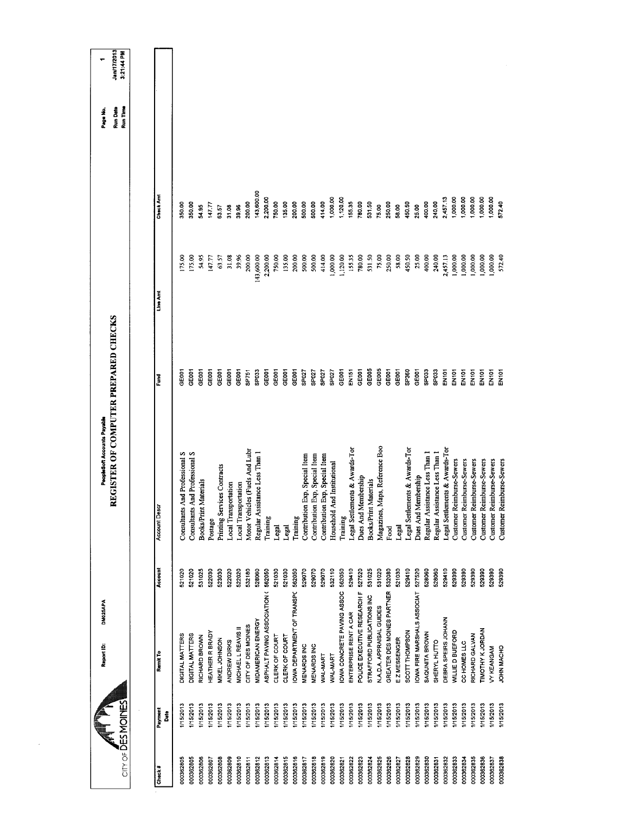| $CITY OF \overline{D}ES MOINES$ |                  | Report ID:                         | <b>DM025APA</b> | REGISTER OF COMPUTER PREPARED CHECKS<br>PeopleSoft Accounts Payable |                   |            |            | Run Time<br><b>Run Date</b><br>Page No. | Jan/17/2013<br>3:21:44 PM |
|---------------------------------|------------------|------------------------------------|-----------------|---------------------------------------------------------------------|-------------------|------------|------------|-----------------------------------------|---------------------------|
|                                 |                  |                                    |                 |                                                                     |                   |            |            |                                         |                           |
| Check #                         | Payment<br>Date  | Remit To                           | Account         | <b>Account Desc</b>                                                 | Fund              | Line Arrt  | Check Amt  |                                         |                           |
| 000362805                       | 1/15/2013        | DIGITAL MATTERS                    | 521020          | Consultants And Professional S                                      | CEOOT             | 175.00     | 350.00     |                                         |                           |
| 000362805                       | 1/15/2013        | DIGITAL MATTERS                    | 521020          | Consultants And Professional S                                      | GE001             | 175.00     | 350.00     |                                         |                           |
| 000362806                       | I/15/2013        | RICHARD BROWN                      | 531025          | Materials<br><b>Books/Print</b>                                     | <b>GRES</b>       | 54.95      | 54.95      |                                         |                           |
| 000362807                       | 1/15/2013        | <b>HEATHER R BRADY</b>             | 522030          | Postage                                                             | GE007             | 147.77     | 147.77     |                                         |                           |
| 000362808                       | I/15/2013        | MIKEL JOHNSON                      | 523030          | Printing Services Contracts                                         | GEBOT             | $63.57\,$  | 63.57      |                                         |                           |
| 000362809                       | I/15/2013        | ANDREW DIRKS                       | 522020          | <b>Local Transportation</b>                                         | GEOOT             | 31.08      | 31.08      |                                         |                           |
| 000362810                       | 1/15/2013        | MICHAEL L REAVIS II                | 522020          | Local Transportation                                                | GE <sub>001</sub> | 39.96      | 39.96      |                                         |                           |
| 000362811                       | 1/15/2013        | CITY OF DES MOINES                 | 532180          | Motor Vehicles (Fuels And Lubr                                      | SP751             | 200.00     | 200,00     |                                         |                           |
| 000362812                       | 1/15/2013        | <b>MIDAMERICAN ENERGY</b>          | 528060          | Regular Assistance Less Than 1                                      | SP033             | 143,600.00 | 143,600.00 |                                         |                           |
| 000362813                       | <b>I/15/2013</b> | ASPHALT PAVING ASSOCIATION (562050 |                 | Training                                                            | GE <sub>001</sub> | 2,200.00   | 2,200.00   |                                         |                           |
| 000362814                       | 1/15/2013        | CLERK OF COURT                     | 521030          | Legal                                                               | GEOOT             | 750.00     | 750.00     |                                         |                           |
| 000362815                       | I/15/2013        | CLERK OF COURT                     | 521030          | Legal                                                               | GE001             | 135.00     | 135.00     |                                         |                           |
| 000362816                       | 1/15/2013        | OWA DEPARTMENT OF TRANSPC          | 562050          | Training                                                            | GE001             | 200.00     | 200.00     |                                         |                           |
| 000362817                       | <b>I/15/2013</b> | <b>MENARDS INC</b>                 | 529070          | Contribution Exp, Special Item                                      | SP <sub>027</sub> | 500.00     | 500.00     |                                         |                           |
| 000362818                       | I/15/2013        | MENARDS INC                        | 529070          | Contribution Exp, Special Item                                      | SP027             | 500.00     | 500.00     |                                         |                           |
| 000362819                       | 1/15/2013        | WAL-MART                           | 529070          | Contribution Exp, Special Item                                      | SP027             | 414,00     | 414.00     |                                         |                           |
| 000362820                       | I/15/2013        | WAL-MART                           | 532110          | Household And Institutional                                         | <b>ZOdS</b>       | 1,000.00   | 1,000.00   |                                         |                           |
| 000362821                       | I/15/2013        | OWA CONCRETE PAVING ASSOC          | 562050          | Training                                                            | GE001             | 1,120.00   | 1,120.00   |                                         |                           |
| 000362822                       | I/15/2013        | ENTERPRISE RENT A CAR              | 529410          | Legal Settlements & Awards-Tor                                      | EN151             | 155.35     | 155.35     |                                         |                           |
| 000362823                       | 1/15/2013        | POLICE EXECUTIVE RESEARCH F        | 527520          | Dues And Membership                                                 | GE <sub>001</sub> | 780.00     | 780.00     |                                         |                           |
| 000362824                       | 1/15/2013        | STRAFFORD PUBLICATIONS INC         | 531025          | Books/Print Materials                                               | GE005             | 531.50     | 531.50     |                                         |                           |
| 000362825                       | I/15/2013        | N.A.D.A. APPRAISAL GUIDES          | 531020          | Maps, Reference Boo<br>Magazines,                                   | GE005             | 75.00      | 75.00      |                                         |                           |
| 000362826                       | 1/15/2013        | GREATER DES MOINES PARTNER         | 532080          | Food                                                                | GE <sub>001</sub> | 250,00     | 25000      |                                         |                           |
| 000362827                       | 1/15/2013        | EZMESSENGER                        | 521030          | Legal                                                               | GE001             | 58.00      | 58.00      |                                         |                           |
| 000362828                       | 1/15/2013        | SCOTT THOMPSON                     | 529410          | Legal Settlements & Awards-Tor                                      | SP360             | 450.50     | 450.50     |                                         |                           |
| 000362829                       | 1/15/2013        | <b>OWA FIRE MARSHALS ASSOCIAT</b>  | 527520          | Dues And Membership                                                 | GE001             | 25,00      | 25.00      |                                         |                           |
| 000362830                       | I/15/2013        | SAQUNITA BROWN                     | 528060          | Regular Assistance Less Than 1                                      | SPO33             | 400.00     | 400.00     |                                         |                           |
| 000362831                       | 1/15/2013        | SHERYL HUTTO                       | 528060          | Regular Assistance Less Than 1                                      | SPO33             | 240.00     | 240.00     |                                         |                           |
| 000362832                       | I/15/2013        | DEBRA SPEIRS JOHANN                | 529410          | Legal Settlements & Awards-Tor                                      | EN101             | 2,457.13   | 2,457.13   |                                         |                           |
| 000362833                       | 1/15/2013        | WILLIE D BUEFORD                   | 529390          | Customer Reimburse-Sewers                                           | EN101             | 1,000.00   | 1,000.00   |                                         |                           |
| 000362834                       | I/15/2013        | CC HOMES LLC                       | 529390          | Customer Reimburse-Sewers                                           | EN101             | 1,000.00   | 1,000.00   |                                         |                           |
| 000362835                       | 1/15/2013        | RICHARD GALVAN                     | 529390          | <b>Customer Reimburse-Sewers</b>                                    | ENIOT             | 000,000,   | 1,000.00   |                                         |                           |
| 000362836                       | 1/15/2013        | TIMOTHY K JORDAN                   | 529390          | Customer Reimburse-Sewers                                           | EN101             | 1,000.00   | 1,000.00   |                                         |                           |
| 000362837                       | 1/15/2013        | VY KEANGAM                         | 529390          | Customer Reimburse-Sewers                                           | EN101             | 000,000    | 1,000.00   |                                         |                           |
| 000362838                       | 1/15/2013        | JOHN MACHO                         | 529390          | Customer Reimburse-Sewers                                           | <b>Nich</b>       | 572.40     | 572.40     |                                         |                           |
|                                 |                  |                                    |                 |                                                                     |                   |            |            |                                         |                           |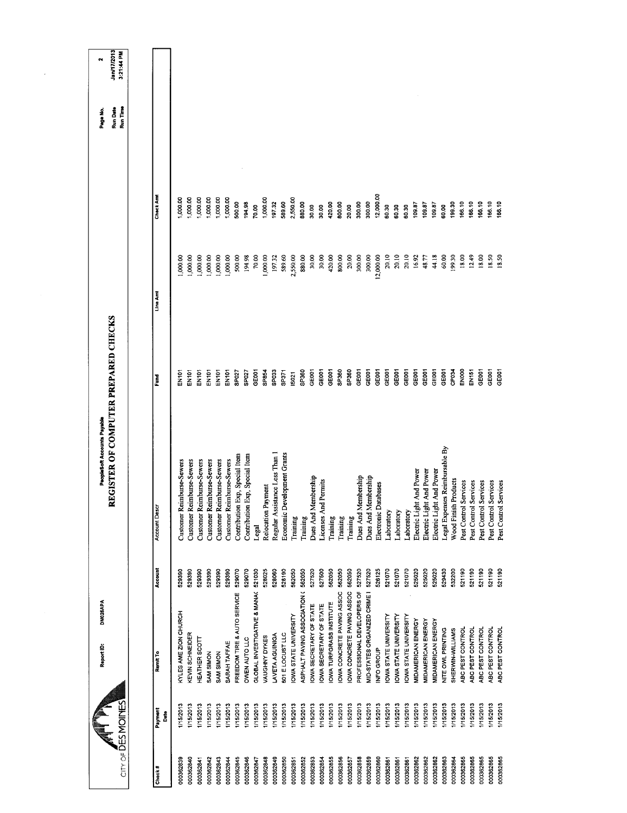| DM025APA<br>Report ID:<br>$CIR$ of DESMOINE                                  |                  | REGISTER OF COMPUTER PREPARED CHECKS<br>PeopleSoft Accounts Payable |                            |                   |                 | Run Time<br><b>Run Date</b><br>Page No. | Jan/17/2013<br>3:21:44 PM<br>N |
|------------------------------------------------------------------------------|------------------|---------------------------------------------------------------------|----------------------------|-------------------|-----------------|-----------------------------------------|--------------------------------|
| Remit To<br>Payment<br>å                                                     | Account          | <b>Account Descr</b>                                                | Ĕ                          | Line Amt          | Check Am        |                                         |                                |
| KYLES AME ZION CHURCH<br>1/15/2013                                           | 529390           | Customer Reimburse-Sewers                                           | EN101                      | 1,000.00          | 1,000.00        |                                         |                                |
| KEVIN SCHNEIDER<br>1/15/2013                                                 | 529390           | Customer Reimburse-Sewers                                           | EN101                      | 1,000.00          | 1,000.00        |                                         |                                |
| HEATHER SCOTT<br>1/15/2013                                                   | 529390           | Customer Reimburse-Sewers                                           | EN101                      | 1,000.00          | 1,000.00        |                                         |                                |
| SAM SIMON<br>1/15/2013                                                       | 529390           | Customer Reimburse-Sewers                                           | EN101                      | 1,000.00          | 1,000.00        |                                         |                                |
| SAM SIMON<br>1/15/2013                                                       | 529390           | Customer Reimburse-Sewers                                           | <b>EN101</b>               | 1,000.00          | 1,000.00        |                                         |                                |
| SARAH TAFFAE<br>1/15/2013                                                    | 529390           | Customer Reimburse-Sewers                                           | EN <sub>101</sub>          | 1,000.00          | 1,000.00        |                                         |                                |
| FREEDOM TIRE & AUTO SERVICE<br>1/15/2013                                     | 529070           | Contribution Exp, Special Item                                      | SP027                      | 500.00            | 500.00          |                                         |                                |
| GLOBAL INVESTIGATIVE & MANAC<br>OWEN AUTO LLC<br>1/15/2013<br>1/15/2013      | 521030<br>529070 | Contribution Exp, Special Item<br>Legal                             | GEOOT<br>SP027             | 70.00<br>194.98   | 194,98<br>70.00 |                                         |                                |
| <b>VAUGHNY DYKES</b><br>1/15/2013                                            | 528025           | Relocation Payment                                                  | SP854                      | 1,000.00          | 1,000.00        |                                         |                                |
| <b>LAVETA AGUINIGA</b><br>1/15/2013                                          | 528060           | Regular Assistance Less Than 1                                      | SPO33                      | 197.32            | 197.32          |                                         |                                |
| 601 ELOCUST LLC<br>1/15/2013                                                 | 528190           | Economic Development Grants                                         | SP371                      | 589.60            | 589.60          |                                         |                                |
| IOWA STATE UNIVERSITY<br>1/15/2013                                           | 562050           | Training                                                            | IS021                      | 2,550.00          | 2,550.00        |                                         |                                |
| ASPHALT PAVING ASSOCIATION (562050<br>1/15/2013                              |                  | Training                                                            | SP <sub>360</sub>          | 880.00            | 880.00          |                                         |                                |
| IOWA SECRETARY OF STATE<br>1/15/2013                                         | 527520           | Dues And Membership                                                 | GEOOT                      | 30.00             | 30.00           |                                         |                                |
| IOWA TURFGRASS INSTITUTE<br>OWA SECRETARY OF STATE<br>1/15/2013<br>1/15/2013 | 527500<br>562050 | Licenses And Permits                                                | GEO <sub>01</sub><br>GE001 | 30.00<br>420.00   | 420.00<br>30.00 |                                         |                                |
| <b>OWA CONCRETE PAVING ASSOC</b><br>1/15/2013                                | 562050           | Training<br>Training                                                | SP360                      | 800.00            | 800.00          |                                         |                                |
| OWA CONCRETE PAVING ASSOC<br>I/15/2013                                       | 562050           | Training                                                            | SP360                      | 20.00             | 20.00           |                                         |                                |
| PROFESSIONAL DEVELOPERS OF<br>1/15/2013                                      | 527520           | Dues And Membership                                                 | <b>GEOD1</b>               | 300.00            | 300.00          |                                         |                                |
| MID-STATES ORGANIZED CRIME I<br>1/15/2013                                    | 527520           | Dues And Membership                                                 | GE001                      | 300.00            | 300.00          |                                         |                                |
| INFO GROUP<br>1/15/2013                                                      | 526125           | Electronic Databases                                                | GE001                      | 12,000.00         | 12,000.00       |                                         |                                |
| <b>OWA STATE UNIVERSITY</b><br>1/15/2013                                     | 521070           | Laboratory                                                          | GE001                      | 20.10             | 60.30           |                                         |                                |
| <b>OWA STATE UNIVERSITY</b><br>1/15/2013                                     | 521070           | Laboratory                                                          | GE001<br>පෙන               | 20.10<br>20.10    | 60.30<br>60.30  |                                         |                                |
| IOWA STATE UNIVERSITY<br>MIDAMERICAN ENERGY<br>1/15/2013<br>1/15/2013        | 521070<br>525020 | Electric Light And Power<br>Laboratory                              | GEOOT                      | 16.92             | 109.87          |                                         |                                |
| <b>MIDAMERICAN ENERGY</b><br>1/15/2013                                       | 525020           | Electric Light And Power                                            | GE001                      | 48.77             | 109.87          |                                         |                                |
| MIDAMERICAN ENERGY<br>1/15/2013                                              | 525020           | Electric Light And Power                                            | GE <sub>001</sub>          | 44.18             | 109.87          |                                         |                                |
| NITE OWL PRINTING<br>1/15/2013                                               | 529430           | Legal Expenses Reimbursable By                                      | GEDOT                      | 60.00             | 60.00           |                                         |                                |
| SHERWIN-WILLIAMS<br>1/15/2013                                                | 532200           | Wood Finish Products                                                | CP <sub>034</sub>          | 199,30            | 199.30          |                                         |                                |
| ABC PEST CONTROL<br>1/15/2013                                                | 521190           | Pest Control Services                                               | ENOOD                      | 18.00             | 166.10          |                                         |                                |
| ABC PEST CONTROL<br><b>I/15/2013</b>                                         | 521190           | Pest Control Services                                               | EN151                      | 12.49             | 166.10          |                                         |                                |
| ABC PEST CONTROL<br>1/15/2013                                                | 521190           | Pest Control Services                                               | GE <sub>001</sub>          | 18.00             | 166.10          |                                         |                                |
| ABC PEST CONTROL<br>115/2013                                                 | 521190           | Pest Control Services                                               | <b>GEIODT</b>              | 18.50             | 166.10          |                                         |                                |
|                                                                              |                  |                                                                     |                            |                   |                 |                                         |                                |
| ABC PEST CONTROL<br>115/2013                                                 | 521190           | Pest Control Services                                               |                            | GE <sub>001</sub> | 18.50           | 166.10                                  |                                |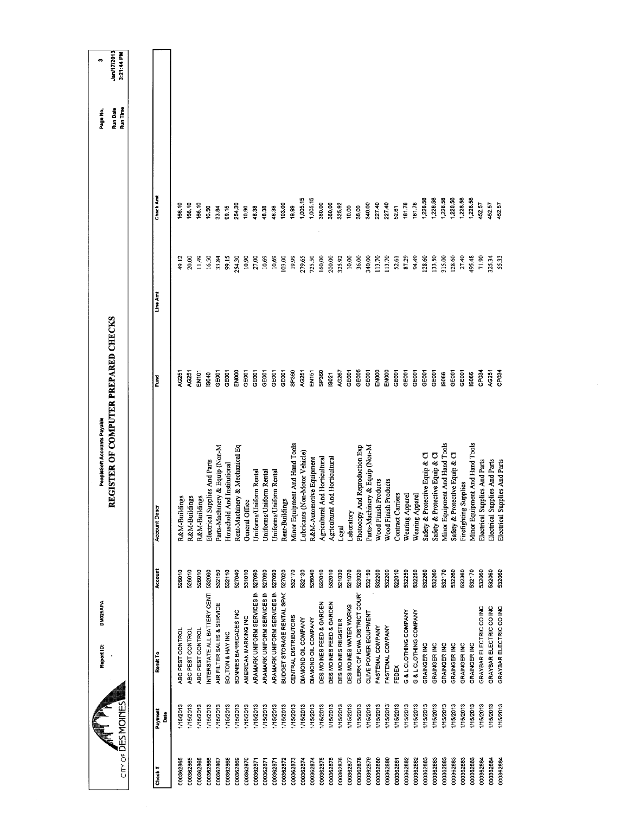| $CITY$ of $\overline{D}ES$ MOINES |              | DM025APA<br>Report ID:       |         | REGISTER OF COMPUTER PREPARED CHECKS<br>PeopleSoft Accounts Payable |                   |          |          | <b>Jan/17/2013</b><br>3:21:44 PM<br>ø<br>Run Time<br>Run Date<br>Page No. |  |
|-----------------------------------|--------------|------------------------------|---------|---------------------------------------------------------------------|-------------------|----------|----------|---------------------------------------------------------------------------|--|
|                                   |              |                              |         |                                                                     |                   |          |          |                                                                           |  |
| Check#                            | Payment<br>å | Remit To                     | Account | Account Descr                                                       | Ĕ                 | Line Amt | Check Am |                                                                           |  |
| 000362865                         | 1/15/2013    | ABC PEST CONTROL             | 526010  | R&M-Buildings                                                       | AG251             | 49.12    | 166.10   |                                                                           |  |
| 000362865                         | 1/15/2013    | ABC PEST CONTROL             | 526010  | R&M-Buildings                                                       | AG251             | 20,00    | 66,10    |                                                                           |  |
| 000362865                         | 1/15/2013    | ABC PEST CONTROL             | 526010  | R&M-Buildings                                                       | <b>EN101</b>      | 11.49    | 66.10    |                                                                           |  |
| 000362866                         | 1/15/2013    | INTERSTATE ALL BATTERY CENTI | 532060  | Electrical Supplies And Parts                                       | IS040             | 16.50    | 16.50    |                                                                           |  |
| 000362867                         | 1/15/2013    | AIR FILTER SALES & SERVICE   | 532150  | Parts-Machinery & Equip (Non-M                                      | GEOOT             | 33.84    | 33.84    |                                                                           |  |
| 000362868                         | 1/15/2013    | BOLTON & HAY INC             | 532110  | Household And Institutional                                         | GE001             | 99.15    | 99.15    |                                                                           |  |
| 000362869                         | 1/15/2013    | BONNIES BARRICADES INC       | 527040  | Rent-Machinery & Mechanical Eq                                      | ENOOD             | 254.30   | 254,30   |                                                                           |  |
| 000362870                         | 1/15/2013    | AMERICAN MARKING INC         | 531010  | General Office                                                      | GEOOT             | 10.90    | 10,90    |                                                                           |  |
| 000362871                         | 1/15/2013    | ARAMARK UNIFORM SERVICES IN  | 527090  | Uniforms/Uniform Rental                                             | GE001             | 27.00    | 48.38    |                                                                           |  |
| 000362871                         | 1/15/2013    | ARAMARK UNIFORM SERVICES IN  | 527090  | Uniforms/Uniform Rental                                             | GEOOT             | 10.69    | 48.38    |                                                                           |  |
| 000362871                         | 1/15/2013    | ARAMARK UNIFORM SERVICES IN  | 527090  | Uniforms/Uniform Rental                                             | GE001             | 10.69    | 48.38    |                                                                           |  |
| 000362872                         | 1/15/2013    | BUDGET STORAGE RENTAL SPAC   | 527020  | Rent-Buildings                                                      | GEOOT             | 103.00   | 103.00   |                                                                           |  |
| 000362873                         | 1/15/2013    | CENTRAL DISTRIBUTORS         | 532170  | Minor Equipment And Hand Tools                                      | SP360             | 19.99    | 19.99    |                                                                           |  |
| 000362874                         | 1/15/2013    | DIAMOND OIL COMPANY          | 532130  | Lubricants (Non-Motor Vehicle)                                      | AG251             | 279.65   | 1,005.15 |                                                                           |  |
| 000362874                         | 1/15/2013    | DIAMOND OIL COMPANY          | 526040  | R&M-Automotive Equipment                                            | EN151             | 725.50   | 1,005.15 |                                                                           |  |
| 000362875                         | 1/15/2013    | DES MOINES FEED & GARDEN     | 532010  | Agricultural And Horticultural                                      | SP360             | 160.00   | 360.00   |                                                                           |  |
| 000362875                         | 1/15/2013    | DES MOINES FEED & GARDEN     | 532010  | Agricultural And Horticultural                                      | <b>ISO21</b>      | 200,00   | 360.00   |                                                                           |  |
| 000362876                         | I/15/2013    | DES MOINES REGISTER          | 521030  | Legal                                                               | AG267             | 325.92   | 325.92   |                                                                           |  |
| 000362877                         | 1/15/2013    | DES MOINES WATER WORKS       | 521070  | Laboratory                                                          | GE001             | 10.00    | 10.00    |                                                                           |  |
| 000362878                         | 1/15/2013    | CLERK OF IOWA DISTRICT COUR  | 523020  | And Reproduction Exp<br>Photocopy                                   | GE005             | 36.00    | 36.00    |                                                                           |  |
| 000362879                         | 1/15/2013    | CLIVE POWER EQUIPMENT        | 532150  | Parts-Machinery & Equip (Non-M                                      | GE001             | 340.00   | 340.00   |                                                                           |  |
| 000362880                         | 1/15/2013    | FASTENAL COMPANY             | 532200  | Wood Finish Products                                                | ENOOO             | 113.70   | 227.40   |                                                                           |  |
| 000362880                         | 1/15/2013    | FASTENAL COMPANY             | 532200  | Wood Finish Products                                                | EN000             | 113.70   | 227.40   |                                                                           |  |
| 000362881                         | I/15/2013    | FEDEX                        | 522010  | <b>Contract Carriers</b>                                            | GE001             | 52.61    | 52.61    |                                                                           |  |
| 000362882                         | 1/15/2013    | G & L CLOTHING COMPANY       | 532250  | Wearing Apparel                                                     | GE001             | 87.29    | 181.78   |                                                                           |  |
| 000362882                         | 1/15/2013    | G & L CLOTHING COMPANY       | 532250  | Wearing Apparel                                                     | GE001             | 94.49    | 181.78   |                                                                           |  |
| 000362883                         | I/15/2013    | GRAINGER INC                 | 532260  | Safety & Protective Equip & Cl                                      | GE001             | 128.60   | 1,228.58 |                                                                           |  |
| 000362883                         | 1/15/2013    | GRAINGER INC                 | 532260  | Safety & Protective Equip & Cl                                      | GE001             | 133.50   | 228.58   |                                                                           |  |
| 000362883                         | 1/15/2013    | GRAINGER INC                 | 532170  | Minor Equipment And Hand Tools                                      | 15066             | 315.00   | 1,228.58 |                                                                           |  |
| 000362883                         | 1/15/2013    | <b>GRAINGER INC</b>          | 532260  | Safety & Protective Equip & Cl                                      | GE001             | 128.60   | 1,228.58 |                                                                           |  |
| 000362883                         | 1/15/2013    | GRAINGER INC                 | 532360  | Firefighting Supplies                                               | GEOOT             | 27.40    | 228.58   |                                                                           |  |
| 000362883                         | 1/15/2013    | GRAINGER INC                 | 532170  | Minor Equipment And Hand Tools                                      | 18066             | 195.48   | 1,228.58 |                                                                           |  |
| 000362884                         | 1/15/2013    | GRAYBAR ELECTRIC CO INC      | 532060  | Electrical Supplies And Parts                                       | CP <sub>034</sub> | 71.90    | 45257    |                                                                           |  |
| 000362884                         | 1/15/2013    | GRAYBAR ELECTRIC CO INC      | 532060  | Electrical Supplies And Parts                                       | AG251             | 325,34   | 452.57   |                                                                           |  |
| 000362884                         | 1/15/2013    | GRAYBAR ELECTRIC CO INC      | 532060  | Electrical Supplies And Parts                                       | CP <sub>034</sub> | 55.33    | 452.57   |                                                                           |  |
|                                   |              |                              |         |                                                                     |                   |          |          |                                                                           |  |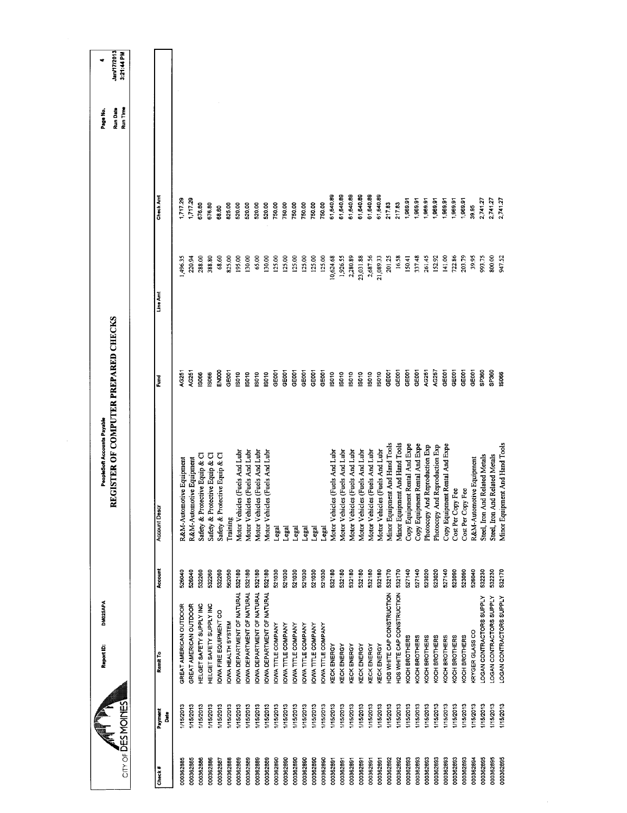|                                |                        | DM025APA<br>Report ID:           |         | PeopleSoft Accounts Payable          |                   |           |           | Page No.                    | ٠                         |
|--------------------------------|------------------------|----------------------------------|---------|--------------------------------------|-------------------|-----------|-----------|-----------------------------|---------------------------|
| $CITY OF \overline{D}ES MOMES$ |                        |                                  |         | REGISTER OF COMPUTER PREPARED CHECKS |                   |           |           | <b>Run Date</b><br>Run Time | Jan/17/2013<br>3:21:44 PM |
|                                |                        |                                  |         |                                      |                   |           |           |                             |                           |
| Check#                         | Payment<br><b>Bate</b> | Remit To                         | Account | Account Desc                         | Fund              | Line Am   | Check Am  |                             |                           |
| 000362885                      | I/15/2013              | GREAT AMERICAN OUTDOOR           | 526040  | R&M-Automotive Equipment             | <b>4G251</b>      | 1,496.35  | 1.717.29  |                             |                           |
| 000362885                      | I/15/2013              | GREAT AMERICAN OUTDOOR           | 526040  | R&M-Automotive Equipment             | <b>G251</b>       | 220.94    | 1,717.29  |                             |                           |
| 000362886                      | 1/15/2013              | HELGET SAFETY SUPPLY INC         | 532260  | Safety & Protective Equip & Cl       | \$966             | 288.00    | 676.80    |                             |                           |
| 000362886                      | 1/15/2013              | HELGET SAFETY SUPPLY INC         | 532260  | Safety & Protective Equip & Cl       | 5066              | 388.80    | 676.80    |                             |                           |
| 000362887                      | I/15/2013              | OWA FIRE EQUIPMENT CO            | 532260  | Safety & Protective Equip & Cl       | ENDOO             | 68.60     | 68.60     |                             |                           |
| 000362888                      | 1/15/2013              | <b>IOWA HEALTH SYSTEM</b>        | 562050  | Training                             | GEOOT             | 825.00    | 825.00    |                             |                           |
| 000362889                      | I/15/2013              | OWA DEPARTMENT OF NATURAL        | 532180  | Motor Vehicles (Fuels And Lubr       | <b>SO10</b>       | 195.00    | 520.00    |                             |                           |
| 000362889                      | I/15/2013              | OWA DEPARTMENT OF NATURAL        | 532180  | Motor Vehicles (Fuels And Lubr       | $\frac{6}{2}$     | 130.00    | 520.00    |                             |                           |
| 000362889                      | 1/15/2013              | OWA DEPARTMENT OF NATURAL        | 532180  | Motor Vehicles (Fuels And Lubr       | IS010             | 65.00     | 520.00    |                             |                           |
| 000362889                      | I/15/2013              | <b>OWA DEPARTMENT OF NATURAL</b> | 532180  | Motor Vehicles (Fuels And Lubr       | <b>ISO10</b>      | 130.00    | 520.00    |                             |                           |
| 000362890                      | I/15/2013              | OWA TITLE COMPANY                | 521030  | Legal                                | GE001             | 125.00    | 750.00    |                             |                           |
| 000362890                      | 1/15/2013              | <b>IOWA TITLE COMPANY</b>        | 521030  | Legal                                | GE001             | 125.00    | 750.00    |                             |                           |
| 000362890                      | 1/15/2013              | <b>OWA TITLE COMPANY</b>         | 521030  | Legal                                | GE001             | 125.00    | 750.00    |                             |                           |
| 000362890                      | I/15/2013              | OWA TITLE COMPANY                | 521030  | Legal                                | GEOOT             | 125.00    | 750.00    |                             |                           |
| 000362890                      | 1/15/2013              | <b>OWA TITLE COMPANY</b>         | 521030  | Legal                                | GE001             | 125.00    | 750.00    |                             |                           |
| 000362890                      | 1/15/2013              | <b>IOWA TITLE COMPANY</b>        | 521030  | Legal                                | GE001             | 125,00    | 750.00    |                             |                           |
| 000362891                      | 115/2013               | KECK ENERGY                      | 532180  | Motor Vehicles (Fuels And Lubr       | <b>SO10</b>       | 0,624.68  | 61,640.89 |                             |                           |
| 000362891                      | 1/15/2013              | KECK ENERGY                      | 532180  | Motor Vehicles (Fuels And Lubr       | IS010             | 1,926.55  | 61,640.89 |                             |                           |
| 000362891                      | 1/15/2013              | KECK ENERGY                      | 532180  | Motor Vehicles (Fuels And Lubr       | IS010             | 2,280.89  | 61,640.89 |                             |                           |
| 000362891                      | 15/2013                | KECK ENERGY                      | 532180  | Motor Vehicles (Fuels And Lubr       | <b>SO10</b>       | 23,031.88 | 61,640.89 |                             |                           |
| 000362891                      | I/15/2013              | KECK ENERGY                      | 532180  | Motor Vehicles (Fuels And Lubr       | <b>SO10</b>       | 2,687.56  | 61,640.89 |                             |                           |
| 000362891                      | 1/15/2013              | KECK ENERGY                      | 532180  | Motor Vehicles (Fuels And Lubr       | ISO10             | 21,089.33 | 61,640.89 |                             |                           |
| 000362892                      | 1/15/2013              | HDS WHITE CAP CONSTRUCTION       | 532170  | Minor Equipment And Hand Tools       | GEDO <sub>1</sub> | 201.25    | 217.83    |                             |                           |
| 000362892                      | I/15/2013              | HDS WHITE CAP CONSTRUCTION       | 532170  | Minor Equipment And Hand Tools       | GE001             | 16.58     | 217.83    |                             |                           |
| 000362893                      | I/15/2013              | KOCH BROTHERS                    | 527140  | Copy Equipment Rental And Expe       | GEOOT             | 150.41    | 1,969.91  |                             |                           |
| 000362893                      | I/15/2013              | KOCH BROTHERS                    | 527140  | Copy Equipment Rental And Expe       | GE001             | 337.48    | 1,969.91  |                             |                           |
| 000362893                      | I/15/2013              | KOCH BROTHERS                    | 523020  | Photocopy And Reproduction Exp       | AG251             | 261.45    | 1,969.91  |                             |                           |
| 000362893                      | 1/15/2013              | KOCH BROTHERS                    | 523020  | Photocopy And Reproduction Exp       | AG257             | 152.92    | 1,969.91  |                             |                           |
| 000362893                      | I/15/2013              | <b>COCH BROTHERS</b>             | 527140  | Copy Equipment Rental And Expe       | GE001             | 141.00    | 1,969.91  |                             |                           |
| 000362893                      | I/15/2013              | KOCH BROTHERS                    | 523090  | Cost Per Copy Fee                    | GE001             | 722.86    | 1,969.91  |                             |                           |
| 000362893                      | 1/15/2013              | KOCH BROTHERS                    | 523090  | Cost Per Copy Fee                    | GE001             | 203.79    | 1,969.91  |                             |                           |
| 000362894                      | I/15/2013              | KRYGER GLASS CO                  | 526040  | R&M-Automotive Equipment             | GE001             | 39.95     | 39.95     |                             |                           |
| 000362895                      | 1/15/2013              | LOGAN CONTRACTORS SUPPLY         | 532230  | Steel, Iron And Related Metals       | SP360             | 993,75    | 2,741.27  |                             |                           |
| 000362895                      | 1/15/2013              | LOGAN CONTRACTORS SUPPLY         | 532230  | Steel, Iron And Related Metals       | SP360             | 800.00    | 2,741.27  |                             |                           |
| 000362895                      | 1/15/2013              | LOGAN CONTRACTORS SUPPLY         | 532170  | Minor Equipment And Hand Tools       | \$066             | 947.52    | 2,741.27  |                             |                           |
|                                |                        |                                  |         |                                      |                   |           |           |                             |                           |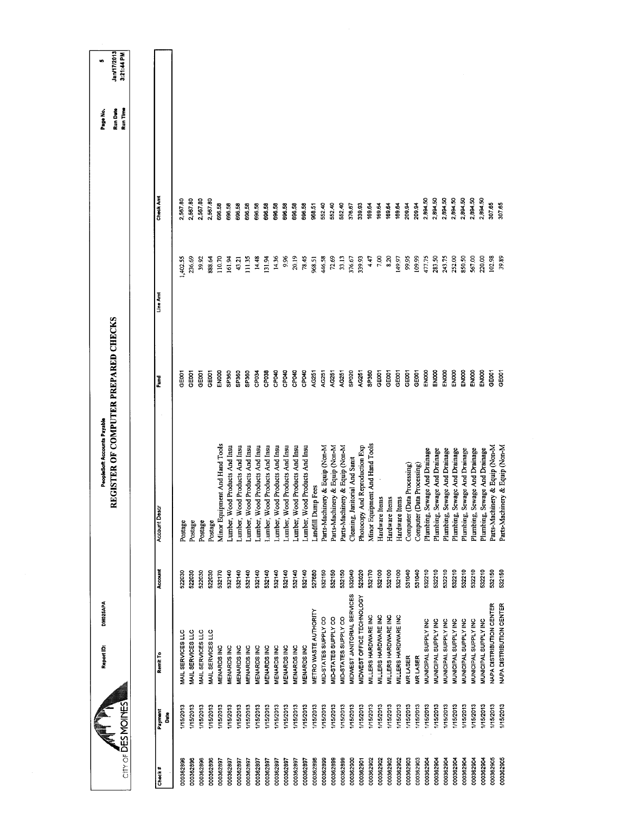|                      |           | DM025APA<br>Report ID:      |         | REGISTER OF COMPUTER PREPARED CHECKS<br>PeopleSoft Accounts Payable |              |          |           | Run Time<br>Run Date<br>Page No. | Jan/17/2013<br>3:21:44 PM<br>w |
|----------------------|-----------|-----------------------------|---------|---------------------------------------------------------------------|--------------|----------|-----------|----------------------------------|--------------------------------|
| CITY OF DES MOMOINES |           |                             |         |                                                                     |              |          |           |                                  |                                |
| Payment<br>Check#    | Date      | Remit To                    | Account | Account Desci                                                       | š            | Line Amt | Check Amt |                                  |                                |
| 000362896            | 115/2013  | MAIL SERVICES LLC           | 522030  | Postage                                                             | <b>DO3</b>   | 1,402.55 | 2,567.80  |                                  |                                |
| 000362896            | I/15/2013 | MAIL SERVICES LLC           | 522030  | Postage                                                             | <b>GEOOT</b> | 236,69   | 2,567.80  |                                  |                                |
| 000362896            | 1/15/2013 | MAIL SERVICES LLC           | 522030  | Postage                                                             | GE001        | 39.92    | 2,567.80  |                                  |                                |
| 000362896            | 1/15/2013 | MAIL SERVICES LLC           | 522030  | Postage                                                             | 3E001        | 888,64   | 2,567.80  |                                  |                                |
| 000362897            | I/15/2013 | MENARDS INC                 | 532170  | Minor Equipment And Hand Tools                                      | ENDOO        | 110.70   | 696.58    |                                  |                                |
| 000362897            | 1/15/2013 | MENARDS INC                 | 532140  | Lumber, Wood Products And Insu                                      | SP360        | 161.94   | 696.58    |                                  |                                |
| 000362897            | 1/15/2013 | MENARDS INC                 | 532140  | Lumber, Wood Products And Insu                                      | SP360        | 43.21    | 696.58    |                                  |                                |
| 000362897            | I/15/2013 | MENARDS INC                 | 532140  | Lumber, Wood Products And Insu                                      | <b>SP260</b> | 11.35    | 696.58    |                                  |                                |
| 000362897            | I/15/2013 | MENARDS INC                 | 532140  | Lumber, Wood Products And Insu                                      | CP034        | 14.48    | 696.58    |                                  |                                |
| 000362897            | I/15/2013 | <b>MENARDS INC</b>          | 532140  | Lumber, Wood Products And Insu                                      | CP038        | 131.94   | 696.58    |                                  |                                |
| 000362897            | I/15/2013 | <b>MENARDS INC</b>          | 532140  | umber, Wood Products And Insu                                       | CP040        | 14.36    | 696.58    |                                  |                                |
| 000362897            | 1/15/2013 | MENARDS INC                 | 532140  | Lumber, Wood Products And Insu                                      | CP040        | 9.96     | 696.58    |                                  |                                |
| 000362897            | 1/15/2013 | <b>MENARDS INC</b>          | 532140  | Lumber, Wood Products And Insu                                      | CPO40        | 20.19    | 696.58    |                                  |                                |
| 000362897            | 1/15/2013 | MENARDS INC                 | 532140  | Lumber, Wood Products And Insu                                      | CPO40        | 78.45    | 696.58    |                                  |                                |
| 000362898            | 1/15/2013 | METRO WASTE AUTHORITY       | 527680  | andfill Dump Fees                                                   | AG251        | 968.51   | 968.51    |                                  |                                |
| 000362899            | 1/15/2013 | MID-STATES SUPPLY CO        | 532150  | Parts-Machinery & Equip (Non-M                                      | AG251        | 446.58   | 552.40    |                                  |                                |
| 000362899            | I/15/2013 | MID-STATES SUPPLY CO        | 532150  | Parts-Machinery & Equip (Non-M                                      | AG251        | 72.69    | 552.40    |                                  |                                |
| 000362899            | 1/15/2013 | MID-STATES SUPPLY CO        | 532150  | Parts-Machinery & Equip (Non-M                                      | AG251        | 33.13    | 552.40    |                                  |                                |
| 000362900            | 1/15/2013 | MIDWEST JANITORIAL SERVICES | 532040  | Cleaning, Janitorial And Sanit                                      | SP020        | 376.67   | 376.67    |                                  |                                |
| 000362901            | I/15/2013 | MIDWEST OFFICE TECHNOLOGY   | 523020  | Photocopy And Reproduction Exp                                      | AG251        | 339.93   | 339.93    |                                  |                                |
| 000362902            | 1/15/2013 | MILLERS HARDWARE INC        | 532170  | Minor Equipment And Hand Tools                                      | SP360        | 4.47     | 169.64    |                                  |                                |
| 000362902            | I/15/2013 | MILLERS HARDWARE INC        | 532100  | Hardware Items                                                      | GEOST        | 7.00     | 169.64    |                                  |                                |
| 000362902            | 1/15/2013 | MILLERS HARDWARE INC        | 532100  | Hardware Items                                                      | GE001        | 8.20     | 169.64    |                                  |                                |
| 000362902            | 1/15/2013 | MILLERS HARDWARE INC        | 532100  | Hardware Items                                                      | GE001        | 149.97   | 169.64    |                                  |                                |
| 000362903            | 1/15/2013 | MR LASER                    | 531040  | Computer (Data Processing)                                          | GEODT        | 99.95    | 209.94    |                                  |                                |
| 000362903            | 1/15/2013 | MR LASER                    | 531040  | Computer (Data Processing)                                          | GEOD1        | 109.99   | 209.94    |                                  |                                |
| 000362904            | 1/15/2013 | MUNICIPAL SUPPLY INC        | 532210  | Plumbing, Sewage And Drainage                                       | ENOOO        | 477.75   | 2,894.50  |                                  |                                |
| 000362904            | I/15/2013 | MUNICIPAL SUPPLY INC        | 532210  | Plumbing, Sewage And Drainage                                       | <b>EN000</b> | 283.50   | 2,894.50  |                                  |                                |
| 000362904            | 1/15/2013 | MUNICIPAL SUPPLY INC        | 532210  | Plumbing, Sewage And Drainage                                       | ENOOD        | 243.75   | 2,894.50  |                                  |                                |
| 000362904            | I/15/2013 | MUNICIPAL SUPPLY INC        | 532210  | Plumbing, Sewage And Drainage                                       | EN000        | 252.00   | 2,894.50  |                                  |                                |
| 000362904            | I/15/2013 | MUNICIPAL SUPPLY INC        | 532210  | Plumbing, Sewage And Drainage                                       | ENDOO        | 850.50   | 2,894.50  |                                  |                                |
| 000362904            | I/15/2013 | MUNICIPAL SUPPLY INC        | 532210  | Plumbing, Sewage And Drainage                                       | ENOOO        | 567.00   | 2,894.50  |                                  |                                |
| 000362904            | I/15/2013 | MUNICIPAL SUPPLY INC        | 532210  | Plumbing, Sewage And Drainage                                       | ENDOO        | 220.00   | 2,894.50  |                                  |                                |
| 000362905            | /15/2013  | NAPA DISTRIBUTION CENTER    | 532150  | Parts-Machinery & Equip (Non-M                                      | GEOOT        | 102.98   | 307.65    |                                  |                                |
| 000362905            | 1/15/2013 | NAPA DISTRIBUTION CENTER    | 532150  | nery & Equip (Non-M<br>Parts-Machi                                  | <b>GEOOT</b> | 39.89    | 307.65    |                                  |                                |
|                      |           |                             |         |                                                                     |              |          |           |                                  |                                |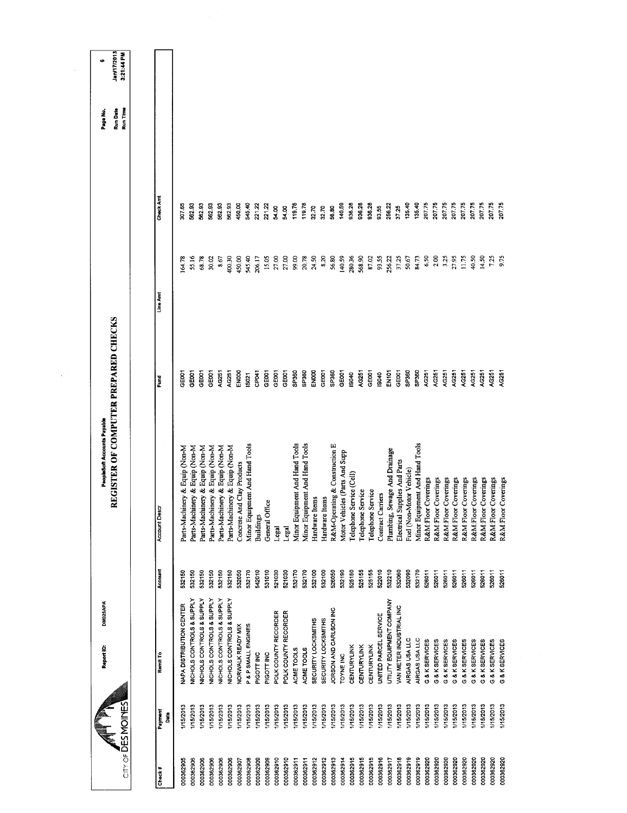|           |                    | DM025APA<br>Report ID:     |         | PeopleSoft Accounts Payable          |                   |          |           | Page No.             | ٠                         |
|-----------|--------------------|----------------------------|---------|--------------------------------------|-------------------|----------|-----------|----------------------|---------------------------|
|           | CITY OF DES MOINES |                            |         | REGISTER OF COMPUTER PREPARED CHECKS |                   |          |           | Run Time<br>Run Date | Jan/17/2013<br>3:21:44 PM |
|           |                    |                            |         |                                      |                   |          |           |                      |                           |
| Check#    | Payment            | Ramit To                   | Account | Account Descr                        | Fund              | Line Amt | Check Amt |                      |                           |
|           | Date               |                            |         |                                      |                   |          |           |                      |                           |
| 000362905 | I/15/2013          | NAPA DISTRIBUTION CENTER   | 532150  | Parts-Machinery & Equip (Non-M       | CEOO1             | 64.78    | 30/65     |                      |                           |
| 000362906 | I/15/2013          | NICHOLS CONTROLS & SUPPLY  | 532150  | Parts-Machinery & Equip (Non-M       | GE001             | 55.16    | 562.93    |                      |                           |
| 000362906 | I/15/2013          | NICHOLS CONTROLS & SUPPLY  | 532150  | Parts-Machinery & Equip (Non-M       | GE001             | 68.78    | 562.93    |                      |                           |
| 000362906 | 1/15/2013          | NICHOLS CONTROLS & SUPPLY  | 532150  | Parts-Machinery & Equip (Non-M       | GE001             | 30.02    | 562.93    |                      |                           |
| 000362906 | 1/15/2013          | NICHOLS CONTROLS & SUPPLY  | 532150  | Parts-Machinery & Equip (Non-M       | AG251             | 8.67     | 562.93    |                      |                           |
| 000362906 | 1/15/2013          | NICHOLS CONTROLS & SUPPLY  | 532150  | Parts-Machinery & Equip (Non-M       | AG251             | 400.30   | 562.93    |                      |                           |
| 000362907 | 1/15/2013          | NORWALK READY MIX          | 532050  | Concrete And Clay Products           | EN000             | 450.00   | 450.00    |                      |                           |
| 000362908 | 1/15/2013          | P & P SMALL ENGINES        | 532170  | Minor Equipment And Hand Tools       | IS021             | 545.40   | 545,40    |                      |                           |
| 000362909 | 1/15/2013          | PIGOTT INC                 | 542010  | <b>Buildings</b>                     | CP <sub>041</sub> | 206.17   | 221.22    |                      |                           |
| 000362909 | 1/15/2013          | PIGOTT INC                 | 531010  | General Office                       | GE001             | 15.05    | 221.22    |                      |                           |
| 000362910 | 1/15/2013          | POLK COUNTY RECORDER       | 521030  | Legal                                | GE001             | 27.00    | 54.00     |                      |                           |
| 000362910 | 1/15/2013          | POLK COUNTY RECORDER       | 521030  | Legal                                | GE001             | 27,00    | 54.00     |                      |                           |
| 000362911 | 1/15/2013          | ACME TOOLS                 | 532170  | Minor Equipment And Hand Tools       | SP360             | 99.00    | 119.78    |                      |                           |
| 000362911 | 1/15/2013          | ACME TOOLS                 | 532170  | Minor Equipment And Hand Tools       | SP360             | 20.78    | 119.78    |                      |                           |
| 000362912 | 1/15/2013          | SECURITY LOCKSMITHS        | 532100  | Hardware Items                       | ENOOO             | 24.50    | 32.70     |                      |                           |
| 000362912 | 1/15/2013          | <b>SECURITY LOCKSMITHS</b> | 532100  | Hardware Items                       | GE001             | 8.20     | 32.70     |                      |                           |
| 000362913 | 1/15/2013          | JORSON AND CARLSON INC     | 526050  | R&M-Operating & Construction E       | SP360             | 56.80    | 56,80     |                      |                           |
| 000362914 | 1/15/2013          | TOYNE INC                  | 532190  | Motor Vehicles (Parts And Supp       | GEOOT             | 140.59   | 140.59    |                      |                           |
| 000362915 | 1/15/2013          | <b>CENTURYLINK</b>         | 525150  | Telephone Service (Cell)             | IS040             | 280.36   | 936.28    |                      |                           |
| 000362915 | I/15/2013          | <b>CENTURYLINK</b>         | 525155  | Telephone Service                    | AG251             | 568.90   | 936.28    |                      |                           |
| 000362915 | 1/15/2013          | <b>CENTURYLINK</b>         | 525155  | Telephone Service                    | GEOD1             | 87.02    | 936.28    |                      |                           |
| 000362916 | 1/15/2013          | UNITED PARCEL SERVICE      | 522010  | Contract Carriers                    | <b>SO40</b>       | 93.55    | 93.55     |                      |                           |
| 000362917 | <b>I/15/2013</b>   | UTILITY EQUIPMENT COMPANY  | 532210  | Plumbing, Sewage And Drainage        | EN101             | 256.22   | 256.22    |                      |                           |
| 000362918 | 1/15/2013          | VAN METER INDUSTRIAL INC   | 532060  | Electrical Supplies And Parts        | GEOOT             | 37,25    | 37.25     |                      |                           |
| 000362919 | 1/15/2013          | AIRGAS USA LLC             | 532090  | Fuel (Non-Motor Vehicle)             | SP360             | 50.67    | 135.40    |                      |                           |
| 000362919 | 1/15/2013          | AIRGAS USA LLC             | 532170  | Minor Equipment And Hand Tools       | SP360             | 84.73    | 135.40    |                      |                           |
| 000362920 | 1/15/2013          | G & K SERVICES             | 526011  | R&M:Floor Coverings                  | AG251             | 6.50     | 207.75    |                      |                           |
| 000362920 | I/15/2013          | G & K SERVICES             | 526011  | R&M:Floor Coverings                  | AG251             | 2.00     | 207.75    |                      |                           |
| 000362920 | 1/15/2013          | G & K SERVICES             | 526011  | R&M:Floor Coverings                  | AG251             | 3.25     | 207.75    |                      |                           |
| 000362920 | I/15/2013          | G & K SERVICES             | 526011  | R&M:Floor Coverings                  | 4G251             | 27.95    | 207.75    |                      |                           |
| 000362920 | I/15/2013          | G & K SERVICES             | 526011  | R&M:Floor Coverings                  | AG251             | 11.75    | 207.75    |                      |                           |
| 000362920 | I/15/2013          | G & K SERVICES             | 526011  | R&M:Floor Coverings                  | AG251             | 40.50    | 207.75    |                      |                           |
| 000362920 | I/15/2013          | G & K SERVICES             | 526011  | R&M:Floor Coverings                  | 4G251             | 14.50    | 207.75    |                      |                           |
| 000362920 | I/15/2013          | G & K SERVICES             | 526011  | R&M:Floor Coverings                  | <b>G251</b>       | 7.25     | 207.75    |                      |                           |
| 000362920 | I/15/2013          | G & K SERVICES             | 526011  | Coverings<br>R&M:Floor               | A0251             | 9.75     | 207.75    |                      |                           |
|           |                    |                            |         |                                      |                   |          |           |                      |                           |
|           |                    |                            |         |                                      |                   |          |           |                      |                           |
|           |                    |                            |         |                                      |                   |          |           |                      |                           |
|           |                    |                            |         |                                      |                   |          |           |                      |                           |

 $\mathcal{A}^{(n)}$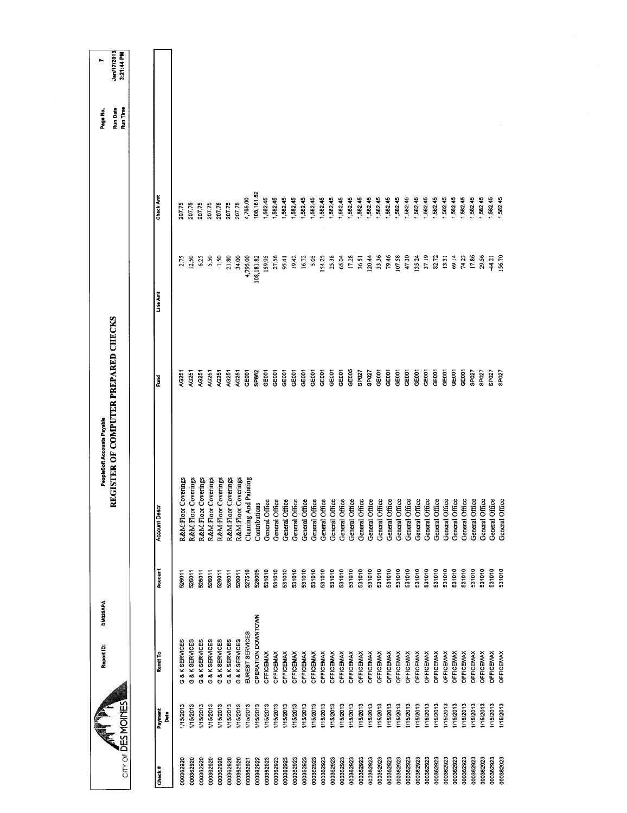| $CITY$ of $\overline{D}ES$ MOINES | DM025APA<br>Report ID: |         | REGISTER OF COMPUTER PREPARED CHECKS<br>PeopleSoft Accounts Payable |                   |            |            | Run Time<br>Run Date<br>Page No. | Jan/17/2013<br>3:21:44 PM<br>r. |
|-----------------------------------|------------------------|---------|---------------------------------------------------------------------|-------------------|------------|------------|----------------------------------|---------------------------------|
|                                   |                        |         |                                                                     |                   |            |            |                                  |                                 |
| Payment<br>Å<br>Check#            | Remit To               | Account | Account Descr                                                       | š                 | Line Amt   | Check Ant  |                                  |                                 |
| 1/15/2013<br>000362920            | G & K SERVICES         | 526011  | Coverings<br>R&M:Floor                                              | AG251             | 2.75       | 207.75     |                                  |                                 |
| I/15/2013<br>000362920            | G & K SERVICES         | 526011  | Coverings<br>R&M:Floor                                              | <b>AG251</b>      | 12.50      | 207.75     |                                  |                                 |
| 1/15/2013<br>000362920            | G & K SERVICES         | 526011  | Coverings<br>R&M:Floor                                              | AG251             | 6.25       | 207.75     |                                  |                                 |
| 1/15/2013<br>000362920            | G & K SERVICES         | 526011  | R&M:Floor Coverings                                                 | AC251             | 5.50       | 207.75     |                                  |                                 |
| I/15/2013<br>000362920            | G & K SERVICES         | 526011  | R&M:Floor Coverings                                                 | AG251             | 1.50       | 207.75     |                                  |                                 |
| 1/15/2013<br>000362920            | G & K SERVICES         | 526011  | R&M:Floor Coverings                                                 | AG251             | 21.80      | 207.75     |                                  |                                 |
| <b>I/15/2013</b><br>000362920     | G & K SERVICES         | 526011  | R&M:Floor Coverings                                                 | AG251             | 34.00      | 207.75     |                                  |                                 |
| I/15/2013<br>000362921            | EUREST SERVICES        | 527510  | Cleaning And Painting                                               | GE <sub>001</sub> | 4,795.00   | 4,795.00   |                                  |                                 |
| 1/15/2013<br>000362922            | OPERATION DOWNTOWN     | 528005  | Contributions                                                       | <b>SP862</b>      | 108,181.82 | 108,181.82 |                                  |                                 |
| 1/15/2013<br>000362923            | <b>OFFICEMAX</b>       | 531010  | General Office                                                      | GEDOT             | 159.95     | 1,582.45   |                                  |                                 |
| 1/15/2013<br>000362923            | <b>OFFICEMAX</b>       | 531010  | General Office                                                      | GE <sub>001</sub> | 27.56      | 1,582.45   |                                  |                                 |
| 1/15/2013<br>000362923            | <b>OFFICEMAX</b>       | 531010  | General Office                                                      | GE001             | 95.41      | 1,582.45   |                                  |                                 |
| 1/15/2013<br>000362923            | <b>OFFICEMAX</b>       | 531010  | General Office                                                      | GE001             | 19.42      | 1,582.45   |                                  |                                 |
| 1/15/2013<br>000362923            | <b>OFFICEMAX</b>       | 531010  | General Office                                                      | GE001             | 16,72      | 1,582.45   |                                  |                                 |
| 1/15/2013<br>000362923            | OFFICEMAX              | 531010  | General Office                                                      | GE001             | 5.05       | 1,582.45   |                                  |                                 |
| 1/15/2013<br>000362923            | <b>OFFICEMAX</b>       | 531010  | General Office                                                      | GE001             | 154.25     | 1,582.45   |                                  |                                 |
| I/15/2013<br>000362923            | OFFICEMAX              | 531010  | General Office                                                      | GE001             | 25.38      | 1,582.45   |                                  |                                 |
| 1/15/2013<br>000362923            | OFFICEMAX              | 531010  | General Office                                                      | GE001             | 65.04      | 582.45     |                                  |                                 |
| I/15/2013<br>000362923            | OFFICEMAX              | 531010  | General Office                                                      | GE005             | 17.28      | 1,582.45   |                                  |                                 |
| 115/2013<br>000362923             | OFFICEMAX              | 531010  | General Office                                                      | SP027             | 36.51      | 1,582.45   |                                  |                                 |
| 1/15/2013<br>000362923            | <b>OFFICEMAX</b>       | 531010  | General Office                                                      | SPO <sub>27</sub> | 120.44     | 1,582.45   |                                  |                                 |
| 1/15/2013<br>000362923            | <b>OFFICEMAX</b>       | 531010  | General Office                                                      | GE001             | 33.36      | 1,582.45   |                                  |                                 |
| 15/2013<br>000362923              | <b>OFFICEMAX</b>       | 531010  | General Office                                                      | GEOOT             | 79.46      | 1,582.45   |                                  |                                 |
| 1/15/2013<br>000362923            | <b>OFFICEMAX</b>       | 531010  | General Office                                                      | GE001             | 107.58     | 1,582.45   |                                  |                                 |
| 1/15/2013<br>000362923            | OFFICEMAX              | 531010  | General Office                                                      | GE001             | 47.30      | 1,582.45   |                                  |                                 |
| I/15/2013<br>000362923            | <b>OFFICEMAX</b>       | 531010  | General Office                                                      | GE001             | 135.24     | 1,582.45   |                                  |                                 |
| 1/15/2013<br>000362923            | OFFICEMAX              | 531010  | General Office                                                      | GEOOT             | 37.19      | 1,582.45   |                                  |                                 |
| 1/15/2013<br>000362923            | OFFICEMAX              | 531010  | General Office                                                      | GEOOT             | 82.72      | 1,582.45   |                                  |                                 |
| I/15/2013<br>000362923            | OFFICEMAX              | 531010  | General Office                                                      | GE001             | 13.31      | 1,582.45   |                                  |                                 |
| 1/15/2013<br>000362923            | <b>OFFICEMAX</b>       | 531010  | General Office                                                      | GEOOT             | 6914       | 1,582.45   |                                  |                                 |
| 1/15/2013<br>000362923            | OFFICEMAX              | 531010  | General Office                                                      | GE001             | 74.23      | 1,582.45   |                                  |                                 |
| I/15/2013<br>000362923            | OFFICEMAX              | 531010  | General Office                                                      | SP027             | 17.86      | 1,582.45   |                                  |                                 |
| I/15/2013<br>000362923            | <b>OFFICEMAX</b>       | 531010  | General Office                                                      | SPO <sub>27</sub> | 29.56      | 1,582.45   |                                  |                                 |
| 1/15/2013<br>000362923            | <b>OFFICEMAX</b>       | 531010  | General Office                                                      | SP027             | 44.21      | 1,582.45   |                                  |                                 |
| 1/15/2013<br>000362923            | OFFICEMAX              | 531010  | General Office                                                      | SPO <sub>27</sub> | 156,70     | 1,582.45   |                                  |                                 |
|                                   |                        |         |                                                                     |                   |            |            |                                  |                                 |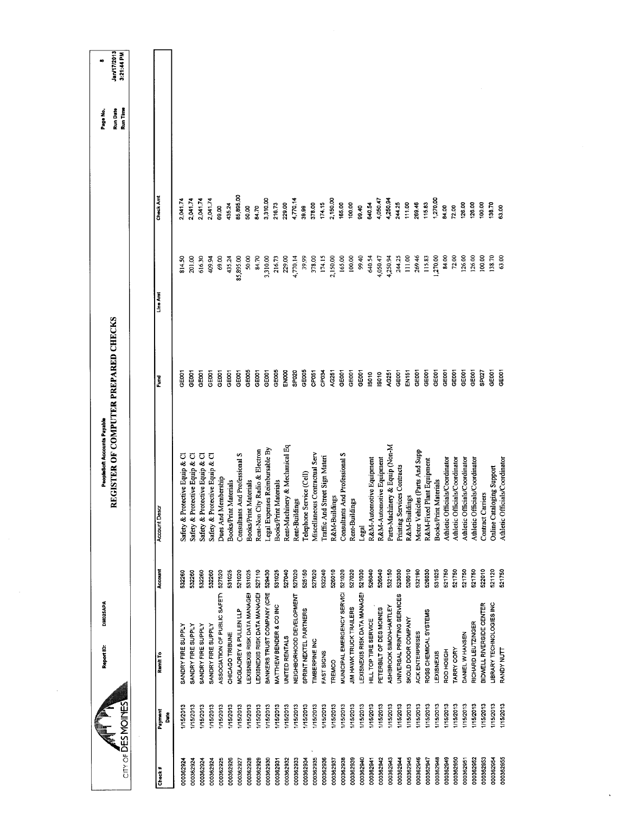| $CIT' OF \overline{D}ES MOMES$ | DM025APA<br>Report ID:       |         | REGISTER OF COMPUTER PREPARED CHECKS<br>PeopleSoft Accounts Payable |                   |           |                 | Run Date<br>Run Time<br>Page No. | Jan/17/2013<br>3:21:44 PM<br>× |
|--------------------------------|------------------------------|---------|---------------------------------------------------------------------|-------------------|-----------|-----------------|----------------------------------|--------------------------------|
|                                |                              |         |                                                                     |                   |           |                 |                                  |                                |
| Payment<br><b>B</b><br>Check#  | Ramit To                     | Account | <b>Account Desa</b>                                                 | Fund              | Line Amt  | Check Amt       |                                  |                                |
| 1/15/2013<br>000362924         | SANDRY FIRE SUPPLY           | 532260  | Safety & Protective Equip & Cl                                      | <b>GOST</b>       | 814.50    | 2,041.74        |                                  |                                |
| 1/15/2013<br>000362924         | SANDRY FIRE SUPPLY           | 532260  | Safety & Protective Equip & Cl                                      | GE001             | 201.00    | 2,041.74        |                                  |                                |
| 15/2013<br>000362924           | SANDRY FIRE SUPPLY           | 532260  | Safety & Protective Equip & Cl                                      | <b>POSE</b>       | 616.30    | 2,041.74        |                                  |                                |
| 1/15/2013<br>000362924         | SANDRY FIRE SUPPLY           | 532260  | Safety & Protective Equip & Cl                                      | <b>GEDOT</b>      | 409.94    | 2,041.74        |                                  |                                |
| 1/15/2013<br>000362925         | ASSOCIATION OF PUBLIC SAFETY | 527520  | Dues And Membership                                                 | GEDOT             | 69.00     | 69.00           |                                  |                                |
| V15/2013<br>000362926          | CHICAGO TRIBUNE              | 531025  | Books/Print Materials                                               | GEOCT             | 435.24    | 435.24          |                                  |                                |
| 1/15/2013<br>000362927         | MCGLADREY & PULLEN LLP       | 521020  | Consultants And Professional S                                      | GE001             | 85,895.00 | 85,895.00       |                                  |                                |
| 1/15/2013<br>000362928         | LEXISNEXIS RISK DATA MANAGEN | 531025  | <b>Books/Print Materials</b>                                        | GE005             | 50.00     | 50.00           |                                  |                                |
| I/15/2013<br>000362929         | LEXISNEXIS RISK DATA MANAGEN | 527110  | Rent-Non City Radio & Electron                                      | GE001             | 84.70     | 84.70           |                                  |                                |
| I/15/2013<br>000362930         | BANKERS TRUST COMPANY (CRE   | 529430  | Legal Expenses Reimbursable By                                      | GE001             | 3,310.00  | 3,310.00        |                                  |                                |
| 1/15/2013<br>000362931         | MATTHEW BENDER & CO INC      | 531025  | Books/Print Materials                                               | GE005             | 216.73    | 216.73          |                                  |                                |
| 115/2013<br>000362932          | UNITED RENTALS               | 527040  | Rent-Machinery & Mechanical Eq                                      | EN000             | 229.00    | 229.00          |                                  |                                |
| 1/15/2013<br>000362933         | NEIGHBORHOOD DEVELOPMENT     | 527020  | Rent-Buildings                                                      | SP020             | 4,770.14  | 4,770.14        |                                  |                                |
| I/15/2013<br>000362934         | SPRINT NEXTEL PARTNERS       | 525150  | Telephone Service (Cell)                                            | GE005             | 39.99     | 39.99           |                                  |                                |
| I/15/2013<br>000362935         | TIMBERPINE INC               | 527620  | Miscellaneous Contractual Serv                                      | CP <sub>051</sub> | 378.00    | 378.00          |                                  |                                |
| 1/15/2013<br>000362936         | FAST SIGNS                   | 532240  | Traffic And Street Sign Materi                                      | CP034             | 174.15    | 174.15          |                                  |                                |
| 1/15/2013<br>000362937         | TREMCO                       | 526010  | R&M-Buildings                                                       | AG251             | 2,150.00  | 2,150.00        |                                  |                                |
| 1/15/2013<br>000362938         | MUNICIPAL EMERGENCY SERVICI  | 521020  | Consultants And Professional S                                      | GEOO1             | 165.00    | 165.00          |                                  |                                |
| I/15/2013<br>000362939         | JIM HAWK TRUCK TRAILERS      | 527020  | Rent-Buildings                                                      | GE001             | 100.00    | 100.00          |                                  |                                |
| I/15/2013<br>000362940         | LEXISNEXIS RISK DATA MANAGEI | 521030  | Legal                                                               | <b>GEOOT</b>      | 99.40     | 99.40           |                                  |                                |
| 1/15/2013<br>000362941         | HILL TOP TIRE SERVICE        | 526040  | R&M-Automotive Equipment                                            | isato             | 640.54    | 640.54          |                                  |                                |
| 1/15/2013<br>000362942         | PETERBILT OF DES MOINES      | 526040  | R&M-Automotive Equipment                                            | ISO10             | 4,050.47  | 4,050.47        |                                  |                                |
| I/15/2013<br>000362943         | ASHBROOK SIMON-HARTLEY       | 532150  | Parts-Machinery & Equip (Non-M                                      | AG251             | 4,250.94  | 4,250.94        |                                  |                                |
| 1/15/2013<br>000362944         | UNIVERSAL PRINTING SERVICES  | 523030  | Printing Services Contracts                                         | GEOOT             | 244.25    | 244.25          |                                  |                                |
| 1/15/2013<br>000362945         | SKOLD DOOR COMPANY           | 526010  | R&M-Buildings                                                       | EN151             | 111.00    | 26946<br>111.00 |                                  |                                |
| I/15/2013<br>000362946         | <b>ACK ENTERPRISES</b>       | 532190  | Motor Vehicles (Parts And Supp                                      | GE001             | 269.46    |                 |                                  |                                |
| I/15/2013<br>000362947         | ROSS CHEMICAL SYSTEMS        | 526030  | R&M-Fixed Plant Equipment                                           | GE001             | 115.83    | 115.83          |                                  |                                |
| I/15/2013<br>000362948         | LEXISNEXIS                   | 531025  | <b>Books/Print Materials</b>                                        | GE001             | 1,270.00  | 1,270.00        |                                  |                                |
| 1/15/2013<br>000362949         | ROD HOEGH                    | 521750  | Athletic Officials/Coordinator                                      | GE001             | 84.00     | 84.00           |                                  |                                |
| 1/15/2013<br>000362950         | TARRY CORY                   | 521750  | Athletic Officials/Coordinator                                      | GE <sub>001</sub> | 72.00     | 72.00           |                                  |                                |
| 1/15/2013<br>000362951         | DANIEL W HANSEN              | 521750  | Athletic Officials/Coordinator                                      | GEOOT             | 126.00    | 126.00          |                                  |                                |
| 115/2013<br>000362952          | RICHARD LEUTZINGER           | 521750  | Athletic Officials/Coordinator                                      | GE001             | 126.00    | 126.00          |                                  |                                |
| 1/15/2013<br>000362953         | BIDWELL RIVERSIDE CENTER     | 522010  | <b>Contract Carriers</b>                                            | SP027             | 100,00    | 100.00          |                                  |                                |
| I/15/2013<br>000362954         | LIBRARY TECHNOLOGIES INC     | 521120  | Online Cataloging Support                                           | GEDOT             | 138.70    | 138.70          |                                  |                                |
| 1/15/2013<br>000362955         | <b>RANDY NUTT</b>            | 521750  | Athletic Officials/Coordinator                                      | GE001             | 63.00     | 63.00           |                                  |                                |
|                                |                              |         |                                                                     |                   |           |                 |                                  |                                |

 $\sim$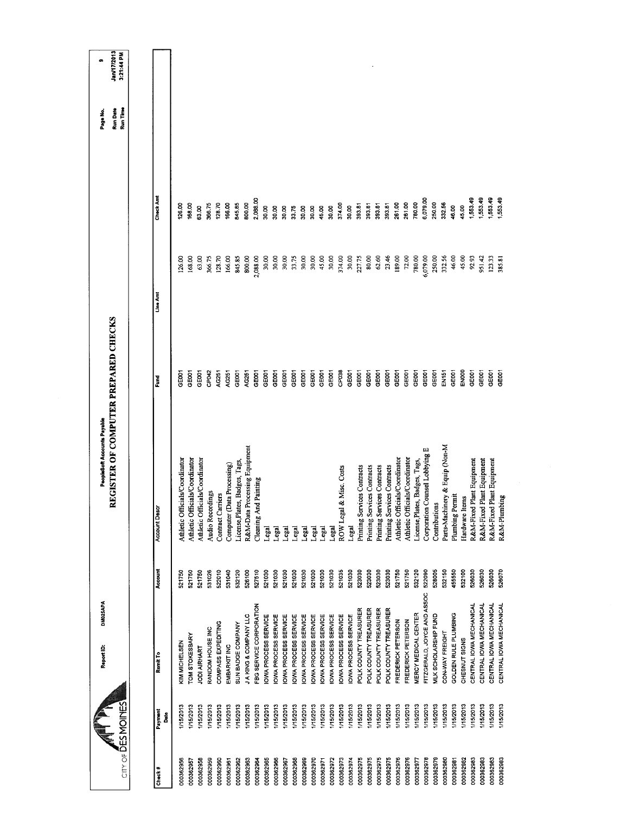| <b>Run Date</b><br>Run Time<br>Check Amt<br>1,553.49<br>1,553.49<br>1,553.49<br>1,553.49<br>2,088.00<br>6,079.00<br>780.00<br>250.00<br>845.85<br>800.00<br>261.00<br>261.00<br>332.56<br>366.75<br>128.70<br>166.00<br>374.00<br>126.00<br>168.00<br>393.81<br>393.81<br>393.81<br>393.81<br>46.00<br>45.00<br>63.00<br>30.00<br>30.00<br>30.00<br>30.00<br>45.00<br>30.00<br>30.00<br>30.00<br>33.75<br>30.00<br>23.46<br>189.00<br>780.00<br>6,079.00<br>332.56<br>46.00<br>63.00<br>845.85<br>2,088.00<br>30.00<br>30.00<br>33.75<br>30.00<br>30,00<br>45.00<br>30.00<br>374.00<br>30,00<br>227.75<br>80.00<br>62.60<br>72.00<br>250.00<br>45.00<br>366.75<br>128.70<br>166.00<br>800,00<br>92.93<br>951.42<br>123.33<br>126.00<br>168.00<br>385.81<br><b>Line Amt</b><br>REGISTER OF COMPUTER PREPARED CHECKS<br>GEOD1<br>CP038<br>EN000<br>GE001<br>CP <sub>D42</sub><br>GE001<br>GEOD1<br>GEODT<br>GE001<br>GEOD1<br>GEOD1<br>GEOOT<br>GE001<br>GE001<br>GE001<br>GE001<br>GEOOT<br>GE001<br>GE001<br><b>GE001</b><br>GE001<br>EN151<br>GE001<br>GE001<br><b>CEOOT</b><br><b>GEOOT</b><br>AG251<br>AG251<br>GE001<br>AG251<br>GE001<br>GE001<br>GEDOT<br>GE001<br>GEDO1<br>Fund<br>Parts-Machinery & Equip (Non-M<br>R&M-Data Processing Equipment<br>Corporation Counsel Lobbying E<br>Athletic Officials/Coordinator<br>Athletic Officials/Coordinator<br>Athletic Officials/Coordinator<br>Athletic Officials/Coordinator<br>Athletic Officials/Coordinator<br>License, Plates, Badges, Tags,<br>R&M-Fixed Plant Equipment<br>R&M-Fixed Plant Equipment<br>License, Plates, Badges, Tags,<br>R&M-Fixed Plant Equipment<br>Computer (Data Processing)<br>Printing Services Contracts<br>Printing Services Contracts<br>Printing Services Contracts<br>Printing Services Contracts<br>ROW Legal & Misc. Costs<br>Cleaning And Painting<br><b>Audio Recordings</b><br>Contract Carriers<br>Plumbing Permit<br>Hardware Items<br>R&M-Plumbing<br>Contributions<br><b>Account Descr</b><br>Legal<br>Legal<br>Legal<br>Legal<br>Legal<br>Legal<br><b>Legal</b><br>Legal<br>Legal<br>Account<br>523030<br>521750<br>532120<br>522090<br>528005<br>532150<br>455550<br>532100<br>526030<br>526030<br>526070<br>527510<br>521030<br>521030<br>521035<br>521030<br>523030<br>523030<br>523030<br>521750<br>526030<br>521750<br>531026<br>522010<br>531040<br>532120<br>521030<br>521030<br>521030<br>521030<br>521030<br>521030<br>521750<br>526100<br>521750<br>FITZGERALD, JOYCE AND ASSOC<br>CENTRAL IOWA MECHANICAL<br>CENTRAL IOWA MECHANICAL<br>CENTRAL IOWA MECHANICAL<br>FBG SERVICE CORPORATION<br>CENTRAL IOWA MECHANICAL<br>POLK COUNTY TREASURER<br>POLK COUNTY TREASURER<br>POLK COUNTY TREASURER<br>POLK COUNTY TREASURER<br><b>MERCY MEDICAL CENTER</b><br>GOLDEN RULE PLUMBING<br>JA KING & COMPANY LLC<br>IOWA PROCESS SERVICE<br>OWA PROCESS SERVICE<br>MLK SCHOLARSHIP FUND<br>OWA PROCESS SERVICE<br>OWA PROCESS SERVICE<br>IOWA PROCESS SERVICE<br>OWA PROCESS SERVICE<br>OWA PROCESS SERVICE<br>OWA PROCESS SERVICE<br>OWA PROCESS SERVICE<br>OWA PROCESS SERVICE<br>FREDERICK PETERSON<br>FREDERICK PETERSON<br>COMPASS EXPEDITING<br>SUN BADGE COMPANY<br>RANDOM HOUSE INC<br>CON-WAY FREIGHT<br><b>TOM STOKESBARY</b><br>CHESNUT SIGNS<br>KIM MICHELSEN<br>EMBARKIT INC<br>JODI AIRHART<br>Remit To<br>CITY OF DES MOINES<br>I/15/2013<br>1/15/2013<br>1/15/2013<br>15/2013<br>1/15/2013<br>1/15/2013<br>I/15/2013<br>I/15/2013<br>1/15/2013<br>1/15/2013<br>1/15/2013<br>1/15/2013<br>1/15/2013<br>1/15/2013<br>1/15/2013<br>115/2013<br>1/15/2013<br>I/15/2013<br>1/15/2013<br>1/15/2013<br><b>I/15/2013</b><br>1/15/2013<br>1/15/2013<br>I/15/2013<br>1/15/2013<br><b>I/15/2013</b><br>1/15/2013<br>1/15/2013<br>I/15/2013<br>1/15/2013<br>I/15/2013<br>1/15/2013<br>I/15/2013<br>1/15/2013<br>1/15/2013<br>Payment<br>Date |           | DM025APA<br>Report ID: | PeopleSoft Accounts Payable |  |  | Page No. | ø.                        |
|---------------------------------------------------------------------------------------------------------------------------------------------------------------------------------------------------------------------------------------------------------------------------------------------------------------------------------------------------------------------------------------------------------------------------------------------------------------------------------------------------------------------------------------------------------------------------------------------------------------------------------------------------------------------------------------------------------------------------------------------------------------------------------------------------------------------------------------------------------------------------------------------------------------------------------------------------------------------------------------------------------------------------------------------------------------------------------------------------------------------------------------------------------------------------------------------------------------------------------------------------------------------------------------------------------------------------------------------------------------------------------------------------------------------------------------------------------------------------------------------------------------------------------------------------------------------------------------------------------------------------------------------------------------------------------------------------------------------------------------------------------------------------------------------------------------------------------------------------------------------------------------------------------------------------------------------------------------------------------------------------------------------------------------------------------------------------------------------------------------------------------------------------------------------------------------------------------------------------------------------------------------------------------------------------------------------------------------------------------------------------------------------------------------------------------------------------------------------------------------------------------------------------------------------------------------------------------------------------------------------------------------------------------------------------------------------------------------------------------------------------------------------------------------------------------------------------------------------------------------------------------------------------------------------------------------------------------------------------------------------------------------------------------------------------------------------------------------------------------------------------------------------------------------------------------------------------------------------------------------------------------------------------------------------------------------------------------------------------------------------------------------------------------------------------------------------------------------------------------------------------------------------------------------------------------------------------------------------------------------------------------------------------------------------------------------------------------------------------------------------------------------------------------------------------------------------------------------------------------|-----------|------------------------|-----------------------------|--|--|----------|---------------------------|
|                                                                                                                                                                                                                                                                                                                                                                                                                                                                                                                                                                                                                                                                                                                                                                                                                                                                                                                                                                                                                                                                                                                                                                                                                                                                                                                                                                                                                                                                                                                                                                                                                                                                                                                                                                                                                                                                                                                                                                                                                                                                                                                                                                                                                                                                                                                                                                                                                                                                                                                                                                                                                                                                                                                                                                                                                                                                                                                                                                                                                                                                                                                                                                                                                                                                                                                                                                                                                                                                                                                                                                                                                                                                                                                                                                                                                                                         |           |                        |                             |  |  |          | Jan/17/2013<br>3:21:44 PM |
|                                                                                                                                                                                                                                                                                                                                                                                                                                                                                                                                                                                                                                                                                                                                                                                                                                                                                                                                                                                                                                                                                                                                                                                                                                                                                                                                                                                                                                                                                                                                                                                                                                                                                                                                                                                                                                                                                                                                                                                                                                                                                                                                                                                                                                                                                                                                                                                                                                                                                                                                                                                                                                                                                                                                                                                                                                                                                                                                                                                                                                                                                                                                                                                                                                                                                                                                                                                                                                                                                                                                                                                                                                                                                                                                                                                                                                                         |           |                        |                             |  |  |          |                           |
| 000362983<br>000362956                                                                                                                                                                                                                                                                                                                                                                                                                                                                                                                                                                                                                                                                                                                                                                                                                                                                                                                                                                                                                                                                                                                                                                                                                                                                                                                                                                                                                                                                                                                                                                                                                                                                                                                                                                                                                                                                                                                                                                                                                                                                                                                                                                                                                                                                                                                                                                                                                                                                                                                                                                                                                                                                                                                                                                                                                                                                                                                                                                                                                                                                                                                                                                                                                                                                                                                                                                                                                                                                                                                                                                                                                                                                                                                                                                                                                                  | Check#    |                        |                             |  |  |          |                           |
|                                                                                                                                                                                                                                                                                                                                                                                                                                                                                                                                                                                                                                                                                                                                                                                                                                                                                                                                                                                                                                                                                                                                                                                                                                                                                                                                                                                                                                                                                                                                                                                                                                                                                                                                                                                                                                                                                                                                                                                                                                                                                                                                                                                                                                                                                                                                                                                                                                                                                                                                                                                                                                                                                                                                                                                                                                                                                                                                                                                                                                                                                                                                                                                                                                                                                                                                                                                                                                                                                                                                                                                                                                                                                                                                                                                                                                                         |           |                        |                             |  |  |          |                           |
|                                                                                                                                                                                                                                                                                                                                                                                                                                                                                                                                                                                                                                                                                                                                                                                                                                                                                                                                                                                                                                                                                                                                                                                                                                                                                                                                                                                                                                                                                                                                                                                                                                                                                                                                                                                                                                                                                                                                                                                                                                                                                                                                                                                                                                                                                                                                                                                                                                                                                                                                                                                                                                                                                                                                                                                                                                                                                                                                                                                                                                                                                                                                                                                                                                                                                                                                                                                                                                                                                                                                                                                                                                                                                                                                                                                                                                                         | 000362957 |                        |                             |  |  |          |                           |
| 000362983<br>000362975<br>000362975<br>000362976<br>000362978<br>000362979<br>000362982<br>000362983<br>000362983<br>000362972<br>000362975<br>000362980<br>000362977<br>000362981                                                                                                                                                                                                                                                                                                                                                                                                                                                                                                                                                                                                                                                                                                                                                                                                                                                                                                                                                                                                                                                                                                                                                                                                                                                                                                                                                                                                                                                                                                                                                                                                                                                                                                                                                                                                                                                                                                                                                                                                                                                                                                                                                                                                                                                                                                                                                                                                                                                                                                                                                                                                                                                                                                                                                                                                                                                                                                                                                                                                                                                                                                                                                                                                                                                                                                                                                                                                                                                                                                                                                                                                                                                                      | 000362958 |                        |                             |  |  |          |                           |
| 000362965<br>000362969<br>000362970<br>000362973<br>000362974<br>000362975<br>000362976<br>000362963<br>000362966<br>000362968<br>000362960<br>000362964<br>000362967<br>000362971<br>000362962<br>000362961                                                                                                                                                                                                                                                                                                                                                                                                                                                                                                                                                                                                                                                                                                                                                                                                                                                                                                                                                                                                                                                                                                                                                                                                                                                                                                                                                                                                                                                                                                                                                                                                                                                                                                                                                                                                                                                                                                                                                                                                                                                                                                                                                                                                                                                                                                                                                                                                                                                                                                                                                                                                                                                                                                                                                                                                                                                                                                                                                                                                                                                                                                                                                                                                                                                                                                                                                                                                                                                                                                                                                                                                                                            | 000362959 |                        |                             |  |  |          |                           |
|                                                                                                                                                                                                                                                                                                                                                                                                                                                                                                                                                                                                                                                                                                                                                                                                                                                                                                                                                                                                                                                                                                                                                                                                                                                                                                                                                                                                                                                                                                                                                                                                                                                                                                                                                                                                                                                                                                                                                                                                                                                                                                                                                                                                                                                                                                                                                                                                                                                                                                                                                                                                                                                                                                                                                                                                                                                                                                                                                                                                                                                                                                                                                                                                                                                                                                                                                                                                                                                                                                                                                                                                                                                                                                                                                                                                                                                         |           |                        |                             |  |  |          |                           |
|                                                                                                                                                                                                                                                                                                                                                                                                                                                                                                                                                                                                                                                                                                                                                                                                                                                                                                                                                                                                                                                                                                                                                                                                                                                                                                                                                                                                                                                                                                                                                                                                                                                                                                                                                                                                                                                                                                                                                                                                                                                                                                                                                                                                                                                                                                                                                                                                                                                                                                                                                                                                                                                                                                                                                                                                                                                                                                                                                                                                                                                                                                                                                                                                                                                                                                                                                                                                                                                                                                                                                                                                                                                                                                                                                                                                                                                         |           |                        |                             |  |  |          |                           |
|                                                                                                                                                                                                                                                                                                                                                                                                                                                                                                                                                                                                                                                                                                                                                                                                                                                                                                                                                                                                                                                                                                                                                                                                                                                                                                                                                                                                                                                                                                                                                                                                                                                                                                                                                                                                                                                                                                                                                                                                                                                                                                                                                                                                                                                                                                                                                                                                                                                                                                                                                                                                                                                                                                                                                                                                                                                                                                                                                                                                                                                                                                                                                                                                                                                                                                                                                                                                                                                                                                                                                                                                                                                                                                                                                                                                                                                         |           |                        |                             |  |  |          |                           |
|                                                                                                                                                                                                                                                                                                                                                                                                                                                                                                                                                                                                                                                                                                                                                                                                                                                                                                                                                                                                                                                                                                                                                                                                                                                                                                                                                                                                                                                                                                                                                                                                                                                                                                                                                                                                                                                                                                                                                                                                                                                                                                                                                                                                                                                                                                                                                                                                                                                                                                                                                                                                                                                                                                                                                                                                                                                                                                                                                                                                                                                                                                                                                                                                                                                                                                                                                                                                                                                                                                                                                                                                                                                                                                                                                                                                                                                         |           |                        |                             |  |  |          |                           |
|                                                                                                                                                                                                                                                                                                                                                                                                                                                                                                                                                                                                                                                                                                                                                                                                                                                                                                                                                                                                                                                                                                                                                                                                                                                                                                                                                                                                                                                                                                                                                                                                                                                                                                                                                                                                                                                                                                                                                                                                                                                                                                                                                                                                                                                                                                                                                                                                                                                                                                                                                                                                                                                                                                                                                                                                                                                                                                                                                                                                                                                                                                                                                                                                                                                                                                                                                                                                                                                                                                                                                                                                                                                                                                                                                                                                                                                         |           |                        |                             |  |  |          |                           |
|                                                                                                                                                                                                                                                                                                                                                                                                                                                                                                                                                                                                                                                                                                                                                                                                                                                                                                                                                                                                                                                                                                                                                                                                                                                                                                                                                                                                                                                                                                                                                                                                                                                                                                                                                                                                                                                                                                                                                                                                                                                                                                                                                                                                                                                                                                                                                                                                                                                                                                                                                                                                                                                                                                                                                                                                                                                                                                                                                                                                                                                                                                                                                                                                                                                                                                                                                                                                                                                                                                                                                                                                                                                                                                                                                                                                                                                         |           |                        |                             |  |  |          |                           |
|                                                                                                                                                                                                                                                                                                                                                                                                                                                                                                                                                                                                                                                                                                                                                                                                                                                                                                                                                                                                                                                                                                                                                                                                                                                                                                                                                                                                                                                                                                                                                                                                                                                                                                                                                                                                                                                                                                                                                                                                                                                                                                                                                                                                                                                                                                                                                                                                                                                                                                                                                                                                                                                                                                                                                                                                                                                                                                                                                                                                                                                                                                                                                                                                                                                                                                                                                                                                                                                                                                                                                                                                                                                                                                                                                                                                                                                         |           |                        |                             |  |  |          |                           |
|                                                                                                                                                                                                                                                                                                                                                                                                                                                                                                                                                                                                                                                                                                                                                                                                                                                                                                                                                                                                                                                                                                                                                                                                                                                                                                                                                                                                                                                                                                                                                                                                                                                                                                                                                                                                                                                                                                                                                                                                                                                                                                                                                                                                                                                                                                                                                                                                                                                                                                                                                                                                                                                                                                                                                                                                                                                                                                                                                                                                                                                                                                                                                                                                                                                                                                                                                                                                                                                                                                                                                                                                                                                                                                                                                                                                                                                         |           |                        |                             |  |  |          |                           |
|                                                                                                                                                                                                                                                                                                                                                                                                                                                                                                                                                                                                                                                                                                                                                                                                                                                                                                                                                                                                                                                                                                                                                                                                                                                                                                                                                                                                                                                                                                                                                                                                                                                                                                                                                                                                                                                                                                                                                                                                                                                                                                                                                                                                                                                                                                                                                                                                                                                                                                                                                                                                                                                                                                                                                                                                                                                                                                                                                                                                                                                                                                                                                                                                                                                                                                                                                                                                                                                                                                                                                                                                                                                                                                                                                                                                                                                         |           |                        |                             |  |  |          |                           |
|                                                                                                                                                                                                                                                                                                                                                                                                                                                                                                                                                                                                                                                                                                                                                                                                                                                                                                                                                                                                                                                                                                                                                                                                                                                                                                                                                                                                                                                                                                                                                                                                                                                                                                                                                                                                                                                                                                                                                                                                                                                                                                                                                                                                                                                                                                                                                                                                                                                                                                                                                                                                                                                                                                                                                                                                                                                                                                                                                                                                                                                                                                                                                                                                                                                                                                                                                                                                                                                                                                                                                                                                                                                                                                                                                                                                                                                         |           |                        |                             |  |  |          |                           |
|                                                                                                                                                                                                                                                                                                                                                                                                                                                                                                                                                                                                                                                                                                                                                                                                                                                                                                                                                                                                                                                                                                                                                                                                                                                                                                                                                                                                                                                                                                                                                                                                                                                                                                                                                                                                                                                                                                                                                                                                                                                                                                                                                                                                                                                                                                                                                                                                                                                                                                                                                                                                                                                                                                                                                                                                                                                                                                                                                                                                                                                                                                                                                                                                                                                                                                                                                                                                                                                                                                                                                                                                                                                                                                                                                                                                                                                         |           |                        |                             |  |  |          |                           |
|                                                                                                                                                                                                                                                                                                                                                                                                                                                                                                                                                                                                                                                                                                                                                                                                                                                                                                                                                                                                                                                                                                                                                                                                                                                                                                                                                                                                                                                                                                                                                                                                                                                                                                                                                                                                                                                                                                                                                                                                                                                                                                                                                                                                                                                                                                                                                                                                                                                                                                                                                                                                                                                                                                                                                                                                                                                                                                                                                                                                                                                                                                                                                                                                                                                                                                                                                                                                                                                                                                                                                                                                                                                                                                                                                                                                                                                         |           |                        |                             |  |  |          |                           |
|                                                                                                                                                                                                                                                                                                                                                                                                                                                                                                                                                                                                                                                                                                                                                                                                                                                                                                                                                                                                                                                                                                                                                                                                                                                                                                                                                                                                                                                                                                                                                                                                                                                                                                                                                                                                                                                                                                                                                                                                                                                                                                                                                                                                                                                                                                                                                                                                                                                                                                                                                                                                                                                                                                                                                                                                                                                                                                                                                                                                                                                                                                                                                                                                                                                                                                                                                                                                                                                                                                                                                                                                                                                                                                                                                                                                                                                         |           |                        |                             |  |  |          |                           |
|                                                                                                                                                                                                                                                                                                                                                                                                                                                                                                                                                                                                                                                                                                                                                                                                                                                                                                                                                                                                                                                                                                                                                                                                                                                                                                                                                                                                                                                                                                                                                                                                                                                                                                                                                                                                                                                                                                                                                                                                                                                                                                                                                                                                                                                                                                                                                                                                                                                                                                                                                                                                                                                                                                                                                                                                                                                                                                                                                                                                                                                                                                                                                                                                                                                                                                                                                                                                                                                                                                                                                                                                                                                                                                                                                                                                                                                         |           |                        |                             |  |  |          |                           |
|                                                                                                                                                                                                                                                                                                                                                                                                                                                                                                                                                                                                                                                                                                                                                                                                                                                                                                                                                                                                                                                                                                                                                                                                                                                                                                                                                                                                                                                                                                                                                                                                                                                                                                                                                                                                                                                                                                                                                                                                                                                                                                                                                                                                                                                                                                                                                                                                                                                                                                                                                                                                                                                                                                                                                                                                                                                                                                                                                                                                                                                                                                                                                                                                                                                                                                                                                                                                                                                                                                                                                                                                                                                                                                                                                                                                                                                         |           |                        |                             |  |  |          |                           |
|                                                                                                                                                                                                                                                                                                                                                                                                                                                                                                                                                                                                                                                                                                                                                                                                                                                                                                                                                                                                                                                                                                                                                                                                                                                                                                                                                                                                                                                                                                                                                                                                                                                                                                                                                                                                                                                                                                                                                                                                                                                                                                                                                                                                                                                                                                                                                                                                                                                                                                                                                                                                                                                                                                                                                                                                                                                                                                                                                                                                                                                                                                                                                                                                                                                                                                                                                                                                                                                                                                                                                                                                                                                                                                                                                                                                                                                         |           |                        |                             |  |  |          |                           |
|                                                                                                                                                                                                                                                                                                                                                                                                                                                                                                                                                                                                                                                                                                                                                                                                                                                                                                                                                                                                                                                                                                                                                                                                                                                                                                                                                                                                                                                                                                                                                                                                                                                                                                                                                                                                                                                                                                                                                                                                                                                                                                                                                                                                                                                                                                                                                                                                                                                                                                                                                                                                                                                                                                                                                                                                                                                                                                                                                                                                                                                                                                                                                                                                                                                                                                                                                                                                                                                                                                                                                                                                                                                                                                                                                                                                                                                         |           |                        |                             |  |  |          |                           |
|                                                                                                                                                                                                                                                                                                                                                                                                                                                                                                                                                                                                                                                                                                                                                                                                                                                                                                                                                                                                                                                                                                                                                                                                                                                                                                                                                                                                                                                                                                                                                                                                                                                                                                                                                                                                                                                                                                                                                                                                                                                                                                                                                                                                                                                                                                                                                                                                                                                                                                                                                                                                                                                                                                                                                                                                                                                                                                                                                                                                                                                                                                                                                                                                                                                                                                                                                                                                                                                                                                                                                                                                                                                                                                                                                                                                                                                         |           |                        |                             |  |  |          |                           |
|                                                                                                                                                                                                                                                                                                                                                                                                                                                                                                                                                                                                                                                                                                                                                                                                                                                                                                                                                                                                                                                                                                                                                                                                                                                                                                                                                                                                                                                                                                                                                                                                                                                                                                                                                                                                                                                                                                                                                                                                                                                                                                                                                                                                                                                                                                                                                                                                                                                                                                                                                                                                                                                                                                                                                                                                                                                                                                                                                                                                                                                                                                                                                                                                                                                                                                                                                                                                                                                                                                                                                                                                                                                                                                                                                                                                                                                         |           |                        |                             |  |  |          |                           |
|                                                                                                                                                                                                                                                                                                                                                                                                                                                                                                                                                                                                                                                                                                                                                                                                                                                                                                                                                                                                                                                                                                                                                                                                                                                                                                                                                                                                                                                                                                                                                                                                                                                                                                                                                                                                                                                                                                                                                                                                                                                                                                                                                                                                                                                                                                                                                                                                                                                                                                                                                                                                                                                                                                                                                                                                                                                                                                                                                                                                                                                                                                                                                                                                                                                                                                                                                                                                                                                                                                                                                                                                                                                                                                                                                                                                                                                         |           |                        |                             |  |  |          |                           |
|                                                                                                                                                                                                                                                                                                                                                                                                                                                                                                                                                                                                                                                                                                                                                                                                                                                                                                                                                                                                                                                                                                                                                                                                                                                                                                                                                                                                                                                                                                                                                                                                                                                                                                                                                                                                                                                                                                                                                                                                                                                                                                                                                                                                                                                                                                                                                                                                                                                                                                                                                                                                                                                                                                                                                                                                                                                                                                                                                                                                                                                                                                                                                                                                                                                                                                                                                                                                                                                                                                                                                                                                                                                                                                                                                                                                                                                         |           |                        |                             |  |  |          |                           |
|                                                                                                                                                                                                                                                                                                                                                                                                                                                                                                                                                                                                                                                                                                                                                                                                                                                                                                                                                                                                                                                                                                                                                                                                                                                                                                                                                                                                                                                                                                                                                                                                                                                                                                                                                                                                                                                                                                                                                                                                                                                                                                                                                                                                                                                                                                                                                                                                                                                                                                                                                                                                                                                                                                                                                                                                                                                                                                                                                                                                                                                                                                                                                                                                                                                                                                                                                                                                                                                                                                                                                                                                                                                                                                                                                                                                                                                         |           |                        |                             |  |  |          |                           |
|                                                                                                                                                                                                                                                                                                                                                                                                                                                                                                                                                                                                                                                                                                                                                                                                                                                                                                                                                                                                                                                                                                                                                                                                                                                                                                                                                                                                                                                                                                                                                                                                                                                                                                                                                                                                                                                                                                                                                                                                                                                                                                                                                                                                                                                                                                                                                                                                                                                                                                                                                                                                                                                                                                                                                                                                                                                                                                                                                                                                                                                                                                                                                                                                                                                                                                                                                                                                                                                                                                                                                                                                                                                                                                                                                                                                                                                         |           |                        |                             |  |  |          |                           |
|                                                                                                                                                                                                                                                                                                                                                                                                                                                                                                                                                                                                                                                                                                                                                                                                                                                                                                                                                                                                                                                                                                                                                                                                                                                                                                                                                                                                                                                                                                                                                                                                                                                                                                                                                                                                                                                                                                                                                                                                                                                                                                                                                                                                                                                                                                                                                                                                                                                                                                                                                                                                                                                                                                                                                                                                                                                                                                                                                                                                                                                                                                                                                                                                                                                                                                                                                                                                                                                                                                                                                                                                                                                                                                                                                                                                                                                         |           |                        |                             |  |  |          |                           |
|                                                                                                                                                                                                                                                                                                                                                                                                                                                                                                                                                                                                                                                                                                                                                                                                                                                                                                                                                                                                                                                                                                                                                                                                                                                                                                                                                                                                                                                                                                                                                                                                                                                                                                                                                                                                                                                                                                                                                                                                                                                                                                                                                                                                                                                                                                                                                                                                                                                                                                                                                                                                                                                                                                                                                                                                                                                                                                                                                                                                                                                                                                                                                                                                                                                                                                                                                                                                                                                                                                                                                                                                                                                                                                                                                                                                                                                         |           |                        |                             |  |  |          |                           |
|                                                                                                                                                                                                                                                                                                                                                                                                                                                                                                                                                                                                                                                                                                                                                                                                                                                                                                                                                                                                                                                                                                                                                                                                                                                                                                                                                                                                                                                                                                                                                                                                                                                                                                                                                                                                                                                                                                                                                                                                                                                                                                                                                                                                                                                                                                                                                                                                                                                                                                                                                                                                                                                                                                                                                                                                                                                                                                                                                                                                                                                                                                                                                                                                                                                                                                                                                                                                                                                                                                                                                                                                                                                                                                                                                                                                                                                         |           |                        |                             |  |  |          |                           |
|                                                                                                                                                                                                                                                                                                                                                                                                                                                                                                                                                                                                                                                                                                                                                                                                                                                                                                                                                                                                                                                                                                                                                                                                                                                                                                                                                                                                                                                                                                                                                                                                                                                                                                                                                                                                                                                                                                                                                                                                                                                                                                                                                                                                                                                                                                                                                                                                                                                                                                                                                                                                                                                                                                                                                                                                                                                                                                                                                                                                                                                                                                                                                                                                                                                                                                                                                                                                                                                                                                                                                                                                                                                                                                                                                                                                                                                         |           |                        |                             |  |  |          |                           |
|                                                                                                                                                                                                                                                                                                                                                                                                                                                                                                                                                                                                                                                                                                                                                                                                                                                                                                                                                                                                                                                                                                                                                                                                                                                                                                                                                                                                                                                                                                                                                                                                                                                                                                                                                                                                                                                                                                                                                                                                                                                                                                                                                                                                                                                                                                                                                                                                                                                                                                                                                                                                                                                                                                                                                                                                                                                                                                                                                                                                                                                                                                                                                                                                                                                                                                                                                                                                                                                                                                                                                                                                                                                                                                                                                                                                                                                         |           |                        |                             |  |  |          |                           |
|                                                                                                                                                                                                                                                                                                                                                                                                                                                                                                                                                                                                                                                                                                                                                                                                                                                                                                                                                                                                                                                                                                                                                                                                                                                                                                                                                                                                                                                                                                                                                                                                                                                                                                                                                                                                                                                                                                                                                                                                                                                                                                                                                                                                                                                                                                                                                                                                                                                                                                                                                                                                                                                                                                                                                                                                                                                                                                                                                                                                                                                                                                                                                                                                                                                                                                                                                                                                                                                                                                                                                                                                                                                                                                                                                                                                                                                         |           |                        |                             |  |  |          |                           |
|                                                                                                                                                                                                                                                                                                                                                                                                                                                                                                                                                                                                                                                                                                                                                                                                                                                                                                                                                                                                                                                                                                                                                                                                                                                                                                                                                                                                                                                                                                                                                                                                                                                                                                                                                                                                                                                                                                                                                                                                                                                                                                                                                                                                                                                                                                                                                                                                                                                                                                                                                                                                                                                                                                                                                                                                                                                                                                                                                                                                                                                                                                                                                                                                                                                                                                                                                                                                                                                                                                                                                                                                                                                                                                                                                                                                                                                         |           |                        |                             |  |  |          |                           |
|                                                                                                                                                                                                                                                                                                                                                                                                                                                                                                                                                                                                                                                                                                                                                                                                                                                                                                                                                                                                                                                                                                                                                                                                                                                                                                                                                                                                                                                                                                                                                                                                                                                                                                                                                                                                                                                                                                                                                                                                                                                                                                                                                                                                                                                                                                                                                                                                                                                                                                                                                                                                                                                                                                                                                                                                                                                                                                                                                                                                                                                                                                                                                                                                                                                                                                                                                                                                                                                                                                                                                                                                                                                                                                                                                                                                                                                         |           |                        |                             |  |  |          |                           |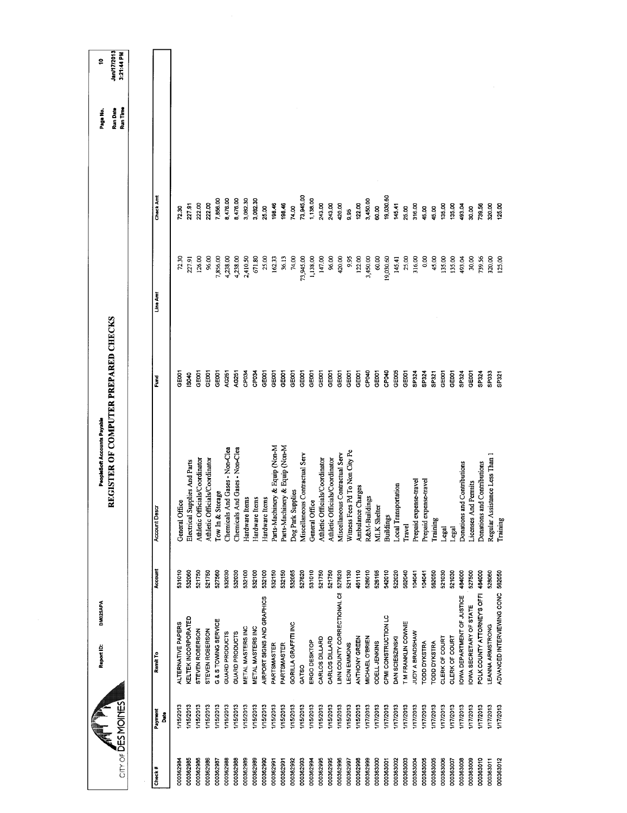| $CIT' OF \overline{D}ES MOINES$ |                  | DM025APA<br>Report ID:           |         | REGISTER OF COMPUTER PREPARED CHECKS<br>PeopleSoft Accounts Payable |                   |           |           | Run Date<br>Run Time<br>Page No. | <b>Jan/17/2013</b><br>3:21:44 PM<br>ş |
|---------------------------------|------------------|----------------------------------|---------|---------------------------------------------------------------------|-------------------|-----------|-----------|----------------------------------|---------------------------------------|
|                                 |                  |                                  |         |                                                                     |                   |           |           |                                  |                                       |
| Check #                         | Payment<br>å     | Remit <sub>To</sub>              | Account | <b>Account Descr</b>                                                | Fund              | Line Amt  | Check Ant |                                  |                                       |
| 000362984                       | 1/15/2013        | ALTERNATIVE PAPERS               | 531010  | General Office                                                      | 3E001             | 72.30     | 72.30     |                                  |                                       |
| 000362985                       | I/15/2013        | KELTEK INCORPORATED              | 532060  | Electrical Supplies And Parts                                       | $rac{40}{5}$      | 227.91    | 227.91    |                                  |                                       |
| 000362986                       | 1/15/2013        | STEVEN ROBERSON                  | 521750  | Athletic Officials/Coordinator                                      | <b>GEOOT</b>      | 126.00    | 222.00    |                                  |                                       |
| 000362986                       | 1/15/2013        | STEVEN ROBERSON                  | 521750  | Athletic Officials/Coordinator                                      | GE <sub>001</sub> | 96.00     | 222.00    |                                  |                                       |
| 000362987                       | 1/15/2013        | G & S TOWING SERVICE             | 527560  | Tow In & Storage                                                    | GE <sub>001</sub> | 7,856.00  | 7,856.00  |                                  |                                       |
| 000362988                       | 1/15/2013        | GUARD PRODUCTS                   | 532030  | Chemicals And Gases - Non-Clea                                      | <b>NG251</b>      | 4,238.00  | 8,476.00  |                                  |                                       |
| 000362988                       | 1/15/2013        | GUARD PRODUCTS                   | 532030  | Chemicals And Gases - Non-Clea                                      | AG251             | 4,238.00  | 8,476.00  |                                  |                                       |
| 000362989                       | 1/15/2013        | <b>METAL MASTERS INC</b>         | 532100  | Hardware Items                                                      | CP <sub>034</sub> | 2,410.50  | 3,082.30  |                                  |                                       |
| 000362989                       | 1/15/2013        | METAL MASTERS INC                | 532100  | Hardware Items                                                      | CP <sub>034</sub> | 671.80    | 3,082.30  |                                  |                                       |
| 000362990                       | 1/15/2013        | AIRPORT SIGNS AND GRAPHICS       | 532100  | Hardware Items                                                      | GE001             | 25.00     | 25.00     |                                  |                                       |
| 000362991                       | I/15/2013        | PARTSMASTER                      | 532150  | Parts-Machinery & Equip (Non-M                                      | GE001             | 162.33    | 198.46    |                                  |                                       |
| 000362991                       | 1/15/2013        | PARTSMASTER                      | 532150  | Parts-Machinery & Equip (Non-M                                      | GE001             | 36.13     | 198.46    |                                  |                                       |
| 000362992                       | I/15/2013        | GORILLA GRAFFITI INC             | 532085  | Dog Park Supplies                                                   | GE001             | 74,00     | 74.00     |                                  |                                       |
| 000362993                       | 1/15/2013        | GATSO                            | 527620  | Miscellaneous Contractual Serv                                      | GE001             | 73,945.00 | 73,945.00 |                                  |                                       |
| 000362994                       | 1/15/2013        | ERGO DESKTOP                     | 531010  | General Office                                                      | GE001             | 1,138.00  | 1,138.00  |                                  |                                       |
| 000362995                       | 1/15/2013        | CARLOS DILLARD                   | 521750  | Athletic Officials/Coordinator                                      | GEDOT             | 147.00    | 243.00    |                                  |                                       |
| 000362995                       | I/15/2013        | CARLOS DILLARD                   | 521750  | Athletic Officials/Coordinator                                      | GE001             | 96.00     | 243.00    |                                  |                                       |
| 000362996                       | 1/15/2013        | LINN COUNTY CORRECTIONAL CE      | 527620  | Miscellaneous Contractual Serv                                      | GE001             | 420.00    | 420.00    |                                  |                                       |
| 000362997                       | I/15/2013        | LEON EMMONS                      | 521130  | Witness Fees Pd To Non City Pe                                      | GED01             | 9.95      | 9.95      |                                  |                                       |
| 000362998                       | 1/15/2013        | <b>ANTHONY GREEN</b>             | 461110  | Ambulance Charges                                                   | GE <sub>001</sub> | 122.00    | 122.00    |                                  |                                       |
| 000362999                       | 1/17/2013        | MICHAEL O'BRIEN                  | 526010  | R&M-Buildings                                                       | CP040             | 3,450.00  | 3,450.00  |                                  |                                       |
| 000363000                       | 1/17/2013        | <b>ODELL JENKINS</b>             | 526195  | <b>MLK</b> Shelter                                                  | GE <sub>001</sub> | 60.00     | 60.00     |                                  |                                       |
| 000363001                       | 117/2013         | CPMI CONSTRUCTION LC             | 542010  | <b>Buildings</b>                                                    | CPO40             | 19,030,60 | 19,030.60 |                                  |                                       |
| 000363002                       | 1/17/2013        | DAN SCIESZINSKI                  | 522020  | Local Transportation                                                | GE005             | 145.41    | 145.41    |                                  |                                       |
| 000363003                       | 1/17/2013        | T M FRANKLIN COWNIE              | 562040  | Travel                                                              | GE <sub>001</sub> | 25.00     | 25.00     |                                  |                                       |
| 000363004                       | 1/17/2013        | JUDY A BRADSHAW                  | 104041  | Prepaid expense-travel                                              | SP324             | 316.00    | 316.00    |                                  |                                       |
| 000363005                       | 1/17/2013        | <b>TODD DYKSTRA</b>              | 104041  | Prepaid expense-travel                                              | SP324             | 0.00      | 45.00     |                                  |                                       |
| 000363005                       | 1/17/2013        | <b>TODD DYKSTRA</b>              | 562050  | Training                                                            | SP321             | 45.00     | 45.00     |                                  |                                       |
| 000363006                       | 1/17/2013        | CLERK OF COURT                   | 521030  | Legal                                                               | GE001             | 135.00    | 135,00    |                                  |                                       |
| 000363007                       | 117/2013         | CLERK OF COURT                   | 521030  | Legal                                                               | GE <sub>001</sub> | 135.00    | 135.00    |                                  |                                       |
| 000363008                       | <b>I/17/2013</b> | <b>OWA DEPARTMENT OF JUSTICE</b> | 484000  | Donations and Contributions                                         | SP324             | 493.04    | 493.04    |                                  |                                       |
| 000363009                       | 117/2013         | <b>IOWA SECRETARY OF STATE</b>   | 527500  | Licenses And Permits                                                | GEOOT             | 30.00     | 30.00     |                                  |                                       |
| 000363010                       | 1/17/2013        | POLK COUNTY ATTORNEY'S OFFI      | 484000  | Donations and Contributions                                         | SP324             | 739.56    | 739.56    |                                  |                                       |
| 000363011                       | <b>I/17/2013</b> | LEANNA ARMSTRONG                 | 528060  | Regular Assistance Less Than 1                                      | SPO33             | 320.00    | 320.00    |                                  |                                       |
| 000363012                       | <b>I/17/2013</b> | ADVANCED INTERVIEWING CONC       | 562050  | Training                                                            | SP321             | 125.00    | 125.00    |                                  |                                       |
|                                 |                  |                                  |         |                                                                     |                   |           |           |                                  |                                       |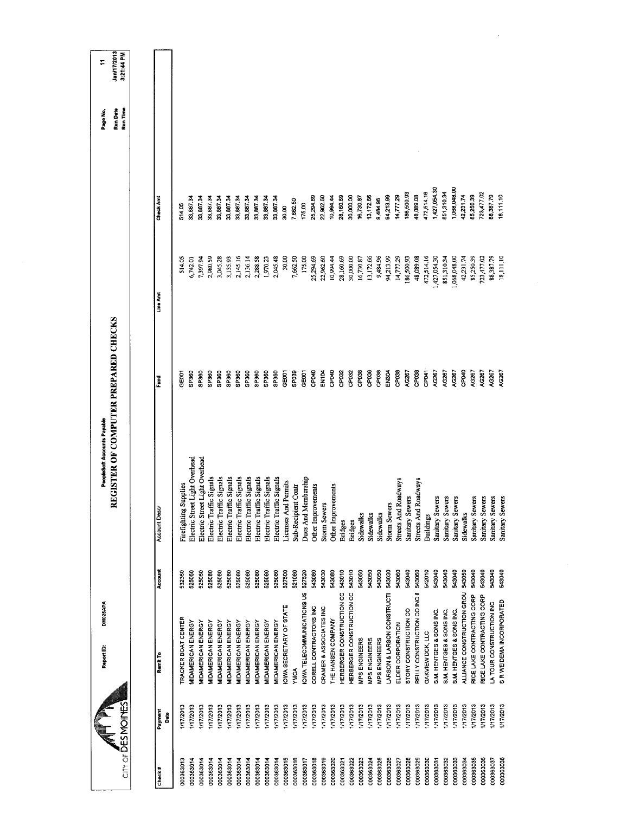|                                          |                  | DM025APA<br>Report ID:           |         | REGISTER OF COMPUTER PREPARED CHECKS<br>PeopleSoft Accounts Payable |                   |              |              | Run Date<br>Page No. | Jan/17/2013<br>Φ |
|------------------------------------------|------------------|----------------------------------|---------|---------------------------------------------------------------------|-------------------|--------------|--------------|----------------------|------------------|
| $CITY$ of $\overline{\text{DES}}$ MOINES |                  |                                  |         |                                                                     |                   |              |              | Run Time             | 3:21:44 PM       |
|                                          |                  |                                  |         |                                                                     |                   |              |              |                      |                  |
| Check#                                   | Payment<br>Bate  | Remit To                         | Account | <b>Account Desc</b>                                                 | Fund              | Line Amt     | Check Amt    |                      |                  |
| 000363013                                | 17/2013          | TRACKER BOAT CENTER              | 532360  | Firefighting Supplies                                               | <b>GEOOT</b>      | 514.05       | 514.05       |                      |                  |
| 000363014                                | /17/2013         | <b>MIDAMERICAN ENERGY</b>        | 525060  | Electric Street Light Overhead                                      | SP360             | 6,742.01     | 33,887.34    |                      |                  |
| 000363014                                | 1/17/2013        | MIDAMERICAN ENERGY               | 525060  | Electric Street Light Overhead                                      | SP360             | 7,397.94     | 33,887.34    |                      |                  |
| 000363014                                | 17/2013          | MIDAMERICAN ENERGY               | 525080  | Electric Traffic Signals                                            | SP360             | 2,980.59     | 33,887.34    |                      |                  |
| 000363014                                | 17/2013          | <b>VIDAMERICAN ENERGY</b>        | 525080  | Electric Traffic Signals                                            | SP360             | 3,045.28     | 33,887.34    |                      |                  |
| 000363014                                | <b>I/17/2013</b> | MIDAMERICAN ENERGY               | 525080  | Electric Traffic Signals                                            | SP360             | 3,135.93     | 33,887.34    |                      |                  |
| 000363014                                | <b>I/17/2013</b> | MIDAMERICAN ENERGY               | 525080  | Electric Traffic Signals                                            | SP360             | 2,145.16     | 33,887.34    |                      |                  |
| 000363014                                | <b>INT72013</b>  | MIDAMERICAN ENERGY               | 525080  | Electric Traffic Signals                                            | SP360             | 2,136.14     | 33,887.34    |                      |                  |
| 000363014                                | <b>I/17/2013</b> | MIDAMERICAN ENERGY               | 525080  | Electric Traffic Signals                                            | SP360             | 2,288.58     | 33,887.34    |                      |                  |
| 000363014                                | I/17/2013        | MIDAMERICAN ENERGY               | 525080  | Electric Traffic Signals                                            | SP <sub>360</sub> | 1,970.23     | 33,887.34    |                      |                  |
| 000363014                                | I/17/2013        | MIDAMERICAN ENERGY               | 525080  | Electric Traffic Signals                                            | SP <sub>360</sub> | 2,045.48     | 33,887.34    |                      |                  |
| 000363015                                | <b>I/17/2013</b> | OWA SECRETARY OF STATE           | 527500  | Licenses And Permits                                                | GE001             | 30.00        | 30.00        |                      |                  |
| 000363016                                | <b>I/17/2013</b> | <b>YMCA</b>                      | 521080  | Sub-Recipient Contr                                                 | SPO39             | 7,662.50     | 7,662.50     |                      |                  |
| 000363017                                | 117/2013         | <b>OWA TELECOMMUNICATIONS US</b> | 527520  | Dues And Membership                                                 | GE001             | 175.00       | 175.00       |                      |                  |
| 000363018                                | 1/17/2013        | CORELL CONTRACTORS INC           | 543080  | Other Improvements                                                  | CP040             | 25,294.69    | 25,294.69    |                      |                  |
| 000363019                                | 1/17/2013        | CRAMER & ASSOCIATES INC          | 543030  | <b>Storm Sewers</b>                                                 | <b>EN104</b>      | 22,962.60    | 22,962.60    |                      |                  |
| 000363020                                | <b>I/17/2013</b> | THE HANSEN COMPANY               | 543080  | Other Improvements                                                  | CP040             | 10,994.44    | 10,994.44    |                      |                  |
| 000363021                                | 1/17/2013        | HERBERGER CONSTRUCTION CC        | 543010  | <b>Bridges</b>                                                      | CP032             | 28,160.69    | 28,160.69    |                      |                  |
| 000363022                                | 1/17/2013        | HERBERGER CONSTRUCTION CC        | 543010  | <b>Bridges</b>                                                      | CP032             | 30,000.00    | 30,000.00    |                      |                  |
| 000363023                                | 1/17/2013        | <b>MPS ENGINEERS</b>             | 543050  | Sidewalks                                                           | CP <sub>038</sub> | 16,730.87    | 16,730.87    |                      |                  |
| 000363024                                | 1/17/2013        | MPS ENGINEERS                    | 543050  | Sidewalks                                                           | CP <sub>038</sub> | 13,172.66    | 13,172.66    |                      |                  |
| 000363025                                | <b>I/17/2013</b> | MPS ENGINEERS                    | 543050  | Sidewalks                                                           | CP <sub>03</sub>  | 9,484.96     | 9,484.96     |                      |                  |
| 000363026                                | 1/17/2013        | LARSON & LARSON CONSTRUCTI       | 543030  | <b>Storm Sewers</b>                                                 | EN304             | 94,213,99    | 94,213.99    |                      |                  |
| 000363027                                | 1/17/2013        | ELDER CORPORATION                | 543060  | <b>Streets And Roadways</b>                                         | CP038             | 14,777.29    | 14,777.29    |                      |                  |
| 000363028                                | 17/2013          | STORY CONSTRUCTION CO            | 543040  | Sanitary Sewers                                                     | AG267             | 186,500.93   | 186,50093    |                      |                  |
| 000363029                                | 1/17/2013        | REILLY CONSTRUCTION CO INC 8     | 543060  | Streets And Roadways                                                | CP038             | 48,089.08    | 48,089.08    |                      |                  |
| 000363030                                | 1/17/2013        | DAKVIEW DCK, LLC                 | 542010  | <b>Buildings</b>                                                    | CP <sub>041</sub> | 472,514.16   | 472,514.16   |                      |                  |
| 000363031                                | 1/17/2013        | S.M. HENTGES & SONS INC.         | 543040  | Sanitary Sewers                                                     | AG267             | 1,427,054.30 | 1,427,054 30 |                      |                  |
| 000363032                                | 1/17/2013        | S.M. HENTGES & SONS INC.         | 543040  | Sanitary Sewers                                                     | AG267             | 851,310.34   | 851,310.34   |                      |                  |
| 000363033                                | 1/17/2013        | S.M. HENTGES & SONS INC.         | 543040  | Sanitary Sewers                                                     | AG267             | 1,068,048.00 | 068,048.00   |                      |                  |
| 000363034                                | 117/2013         | ALLIANCE CONSTRUCTION GROU       | 543050  | Sidewalks                                                           | CPO40             | 42,231.74    | 42,231.74    |                      |                  |
| 000363035                                | 1/17/2013        | RICE LAKE CONTRACTING CORP       | 543040  | Sanitary Sewers                                                     | AG267             | 85,250.39    | 85,250.39    |                      |                  |
| 000363036                                | 17/2013          | RICE LAKE CONTRACTING CORP       | 543040  | Sanitary Sewers                                                     | <b>NG267</b>      | 723,477.02   | 723,477.02   |                      |                  |
| 000363037                                | I/17/2013        | LA TOUR CONSTRUCTION INC         | 543040  | Sanitary Sewers                                                     | AG267             | 88,387.79    | 88,387.79    |                      |                  |
| 000363038                                | 1/17/2013        | S R WEIDEMA INCORPORATED         | 543040  | Sanitary Sewers                                                     | AG267             | 18,111.10    | 18,111.10    |                      |                  |
|                                          |                  |                                  |         |                                                                     |                   |              |              |                      |                  |

 $\mathcal{L}^{\text{max}}_{\text{max}}$  and  $\mathcal{L}^{\text{max}}_{\text{max}}$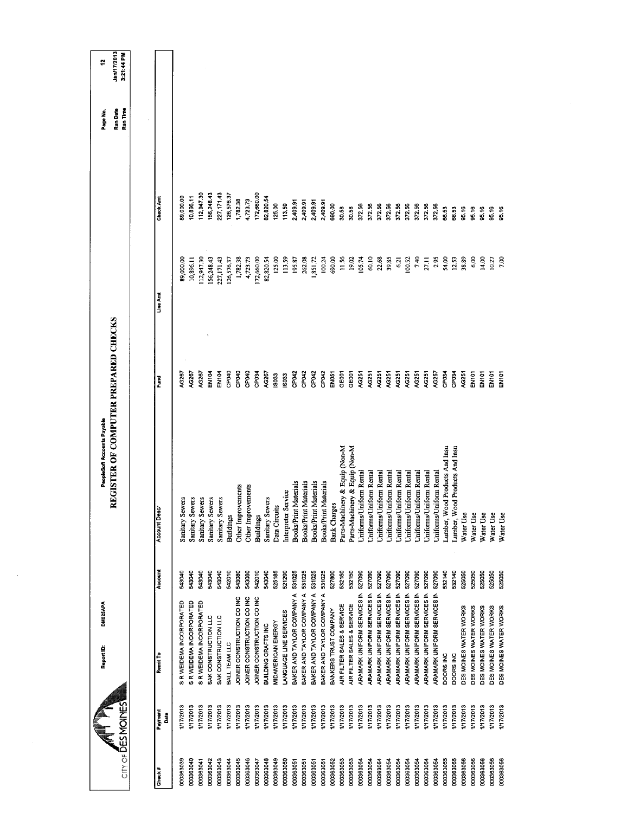| City of DESMOINES |                  | DM025APA<br>Report ID:             |         | REGISTER OF COMPUTER PREPARED CHECKS<br>PeopleSoft Accounts Payable |                   |            |             | Run Date<br>Run Time<br>Page No. | Jan/17/2013<br>3:21:44 PM<br>ä |
|-------------------|------------------|------------------------------------|---------|---------------------------------------------------------------------|-------------------|------------|-------------|----------------------------------|--------------------------------|
|                   |                  |                                    |         |                                                                     |                   |            |             |                                  |                                |
| Check#            | Payment<br>Date  | Remit To                           | Account | <b>Account Descr</b>                                                | Ē                 | Line Amt   | Check Amt   |                                  |                                |
| 000363039         | <b>I/17/2013</b> | R WEIDEMA INCORPORATED             | 543040  | Sanitary Sewers                                                     | AG267             | 89,000.00  | 39,000.00   |                                  |                                |
| 000363040         | 1/17/2013        | S R WEIDEMA INCORPORATED           | 543040  | Sanitary Sewers                                                     | AG267             | 10,896.11  | 10,896.11   |                                  |                                |
| 000363041         | 1/17/2013        | S R WEIDEMA INCORPORATED           | 543040  | Sanitary Sewers                                                     | AG267             | 112,947.30 | 112,947.30  |                                  |                                |
| 000363042         | 117/2013         | SAK CONSTRUCTION LLC               | 543040  | Sanitary Sewers                                                     | EN <sub>104</sub> | 56,248.43  | 56,248.43   |                                  |                                |
| 000363043         | <b>I/17/2013</b> | SAK CONSTRUCTION LLC               | 543040  | Sanitary Sewers                                                     | EN104             | 227,171.43 | 227, 171.43 |                                  |                                |
| 000363044         | <b>I/17/2013</b> | BALL TEAM LLC                      | 542010  | <b>Buildings</b>                                                    | CPD4D             | 126,576.37 | 126,576.37  |                                  |                                |
| 000363045         | 117/2013         | JOINER CONSTRUCTION CO INC         | 543080  | Other Improvements                                                  | CPD40             | 1,782.38   | 1,782.38    |                                  |                                |
| 000363046         | <b>I/17/2013</b> | JOINER CONSTRUCTION CO INC         | 543080  | Other Improvements                                                  | CP040             | 4,723.73   | 4,723.73    |                                  |                                |
| 000363047         | <b>I/17/2013</b> | JOINER CONSTRUCTION CO INC         | 542010  | <b>Buildings</b>                                                    | GP034             | 172,660.00 | 172,560.00  |                                  |                                |
| 000363048         | 1/17/2013        | BUILDING CRAFTS INC                | 543040  | Sanitary Sewers                                                     | AG267             | 82,820.54  | 82,820.54   |                                  |                                |
| 000363049         | 1/17/2013        | MIDAMERICAN ENERGY                 | 525185  | ë<br>Data Circui                                                    | <b>ISO33</b>      | 125.00     | 125.00      |                                  |                                |
| 000363050         | 117/2013         | LANGUAGE LINE SERVICES             | 521290  | Interpreter Service                                                 | <b>IS033</b>      | 113.59     | 113.59      |                                  |                                |
| 000363051         | 1/17/2013        | BAKER AND TAYLOR COMPANY A         | 531025  | Books/Print Materials                                               | CP <sub>042</sub> | 195.87     | 2,409.91    |                                  |                                |
| 000363051         | <b>I/17/2013</b> | BAKER AND TAYLOR COMPANY A         | 531025  | <b>Books/Print Materials</b>                                        | CP042             | 262.08     | 2,409.91    |                                  |                                |
| 000363051         | 117/2013         | BAKER AND TAYLOR COMPANY A         | 531025  | Books/Print Materials                                               | CP042             | 1,851.72   | 2,409.91    |                                  |                                |
| 000363051         | 1/17/2013        | BAKER AND TAYLOR COMPANY A         | 531025  | Books/Print Materials                                               | CPD42             | 100.24     | 2,409.91    |                                  |                                |
| 000363052         | 1/17/2013        | BANKERS TRUST COMPANY              | 527800  | <b>Bank Charges</b>                                                 | EN051             | 690.00     | 690.00      |                                  |                                |
| 000363053         | 117/2013         | AIR FILTER SALES & SERVICE         | 532150  | Parts-Machinery & Equip (Non-M                                      | GE <sub>001</sub> | 11.56      | 30.58       |                                  |                                |
| 000363053         | 1/17/2013        | AIR FILTER SALES & SERVICE         | 532150  | Parts-Machinery & Equip (Non-M                                      | GEDO1             | 19.02      | 30.58       |                                  |                                |
| 000363054         | 1/17/2013        | ARAMARK UNIFORM SERVICES IN        | 527090  | Uniforms/Uniform Rental                                             | AG251             | 105.74     | 372.56      |                                  |                                |
| 000363054         | 1/17/2013        | <b>ARAMARK UNIFORM SERVICES IN</b> | 527090  | Uniforms/Uniform Rental                                             | AG251             | 60.10      | 372.56      |                                  |                                |
| 000363054         | <b>I/17/2013</b> | ARAMARK UNIFORM SERVICES IN        | 527090  | Uniforms/Uniform Rental                                             | AG251             | 22.68      | 372.56      |                                  |                                |
| 000363054         | <b>I/17/2013</b> | ARAMARK UNIFORM SERVICES IN        | 527090  | Uniforms/Uniform Rental                                             | AG251             | 39,85      | 372.56      |                                  |                                |
| 000363054         | 117/2013         | ARAMARK UNIFORM SERVICES IN        | 527090  | Jniforms/Uniform Rental                                             | AG251             | 6.21       | 372.56      |                                  |                                |
| 000363054         | 1/17/2013        | <b>ARAMARK UNIFORM SERVICES IN</b> | 527090  | Uniforms/Uniform Rental                                             | AG251             | 100.52     | 372.56      |                                  |                                |
| 000363054         | 1/17/2013        | ARAMARK UNIFORM SERVICES IN        | 527090  | Uniforms/Uniform Rental                                             | AG251             | 7.40       | 372.56      |                                  |                                |
| 000363054         | 1/17/2013        | <b>ARAMARK UNIFORM SERVICES IN</b> | 527090  | Uniforms/Uniform Rental                                             | AG251             | 27.11      | 372.56      |                                  |                                |
| 000363054         | I/17/2013        | ARAMARK UNIFORM SERVICES IN        | 527090  | Uniforms/Uniform Rental                                             | AG257             | 2.95       | 37256       |                                  |                                |
| 000363055         | 117/2013         | DOORS INC                          | 532140  | Lumber, Wood Products And Insu                                      | CP <sub>034</sub> | 54.00      | 66.53       |                                  |                                |
| 000363055         | 1/17/2013        | DOORS INC                          | 532140  | ood Products And Insu<br>Lumber, W                                  | CP034             | 12.53      | 66.53       |                                  |                                |
| 000363056         | 1/17/2013        | DES MOINES WATER WORKS             | 525050  | Water Use                                                           | AG251             | 38.89      | 95.16       |                                  |                                |
| 000363056         | 117/2013         | DES MOINES WATER WORKS             | 525050  | Water Use                                                           | EN101             | 6.00       | 95.16       |                                  |                                |
| 000363056         | I/17/2013        | DES MOINES WATER WORKS             | 525050  | Water Use                                                           | EN <sub>101</sub> | 14.00      | 95.16       |                                  |                                |
| 000363056         | 1/17/2013        | DES MOINES WATER WORKS             | 525050  | Water Use                                                           | EN <sub>101</sub> | 10.27      | 95.16       |                                  |                                |
| 000363056         | 117/2013         | DES MOINES WATER WORKS             | 525050  | Water Use                                                           | <b>INTO</b>       | 7.00       | 95.16       |                                  |                                |
|                   |                  |                                    |         |                                                                     |                   |            |             |                                  |                                |

 $\sim$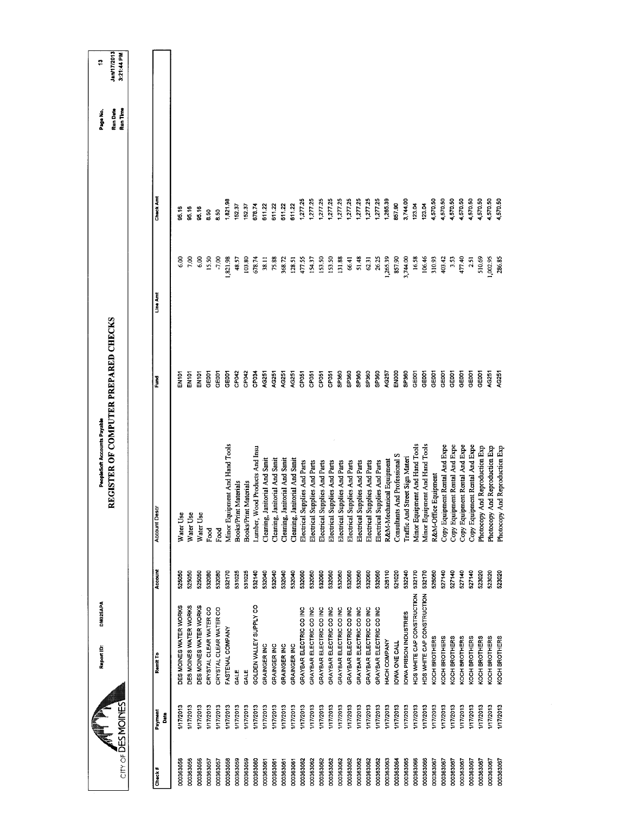| CITY OF DES MOINES            | DM025APA<br>Report ID:     |         | REGISTER OF COMPUTER PREPARED CHECKS<br>PeopleSoft Accounts Payable |                   |               |                  | <b>Jan/17/2013</b><br>3:21:44 PM<br>Run Time<br>Run Date<br>Page No. | ÷, |
|-------------------------------|----------------------------|---------|---------------------------------------------------------------------|-------------------|---------------|------------------|----------------------------------------------------------------------|----|
|                               |                            |         |                                                                     |                   |               |                  |                                                                      |    |
| Payment<br>Date<br>Check#     | Remit To                   | Account | Account Descr                                                       | Ēund              | Line Amt      | <b>Check Amt</b> |                                                                      |    |
| 1/17/2013<br>000363056        | DES MOINES WATER WORKS     | 525050  | Water Use                                                           | i<br>이 10         | $\frac{8}{6}$ | 95.16            |                                                                      |    |
| 1/17/2013<br>000363056        | DES MOINES WATER WORKS     | 525050  | Water Use                                                           | <b>EN101</b>      | $\frac{8}{2}$ | 95.16            |                                                                      |    |
| 1/17/2013<br>000363056        | DES MOINES WATER WORKS     | 525050  | Water Use                                                           | EN101             | 6.00          | <b>35.16</b>     |                                                                      |    |
| 1/17/2013<br>000363057        | CRYSTAL CLEAR WATER CO     | 532080  | Food                                                                | GE001             | 15.50         | 8.50             |                                                                      |    |
| 1/17/2013<br>000363057        | CRYSTAL CLEAR WATER CO     | 532080  | Food                                                                | පෙ                | 7,00          | 8.50             |                                                                      |    |
| 1/17/2013<br>000363058        | FASTENAL COMPANY           | 532170  | Minor Equipment And Hand Tools                                      | GE001             | 1,821.98      | 1,821.98         |                                                                      |    |
| 1/17/2013<br>000363059        | GALE                       | 531025  | t Materials<br>Books/Print                                          | CP <sub>042</sub> | 48.57         | 152.37           |                                                                      |    |
| 1/17/2013<br>000363059        | GALE                       | 531025  | <b>Books/Print Materials</b>                                        | CP042             | 103.80        | 152.37           |                                                                      |    |
| 117/2013<br>000363060         | GOLDEN VALLEY SUPPLY CO    | 532140  | Lumber, Wood Products And Insu                                      | CP <sub>034</sub> | 678.74        | 6/8.74           |                                                                      |    |
| 1/17/2013<br>000363061        | GRAINGER INC               | 532040  | anitorial And Sanit<br>Cleaning, J                                  | AG251             | 38.11         | 611.22           |                                                                      |    |
| 1/17/2013<br>000363061        | GRAINGER INC               | 532040  | anitorial And Sanit<br>Cleaning, J                                  | AG251             | 75.88         | 611.22           |                                                                      |    |
| 117/2013<br>000363061         | GRAINGER INC               | 532040  | Cleaning, Janitorial And Sanit                                      | AG251             | 368.72        | 611.22           |                                                                      |    |
| 1/17/2013<br>000363061        | GRAINGER INC               | 532040  | anitorial And Sanit<br>Cleaning, J                                  | AG251             | 128.51        | 611.22           |                                                                      |    |
| 1/17/2013<br>000363062        | GRAYBAR ELECTRIC CO INC    | 532060  | Electrical Supplies And Parts                                       | CP <sub>051</sub> | 477.55        | 1,277.25         |                                                                      |    |
| 117/2013<br>000363062         | GRAYBAR ELECTRIC CO INC    | 532060  | Electrical Supplies And Parts                                       | CP <sub>051</sub> | 15437         | 1,277.25         |                                                                      |    |
| 1/17/2013<br>000363062        | GRAYBAR ELECTRIC CO INC    | 532060  | Electrical Supplies And Parts                                       | CP <sub>051</sub> | 153.50        | 1,277.25         |                                                                      |    |
| 1/17/2013<br>000363062        | GRAYBAR ELECTRIC CO INC    | 532060  | Electrical Supplies And Parts                                       | CP051             | 153.50        | 1,277.25         |                                                                      |    |
| 1/17/2013<br>000363062        | GRAYBAR ELECTRIC CO INC    | 532060  | Electrical Supplies And Parts                                       | SP360             | 131.88        | 1,277.25         |                                                                      |    |
| 1/17/2013<br>000363062        | GRAYBAR ELECTRIC CO INC    | 532060  | Electrical Supplies And Parts                                       | SP360             | 66.41         | 1,277.25         |                                                                      |    |
| 1/17/2013<br>000363062        | GRAYBAR ELECTRIC CO INC    | 532060  | Electrical Supplies And Parts                                       | SP360             | 51.48         | 1,277.25         |                                                                      |    |
| 1/17/2013<br>000363062        | GRAYBAR ELECTRIC CO INC    | 532060  | Electrical Supplies And Parts                                       | SP360             | 62.31         | 1,277.25         |                                                                      |    |
| 1/17/2013<br>000363062        | GRAYBAR ELECTRIC CO INC    | 532060  | Electrical Supplies And Parts                                       | SP360             | 26.25         | 1,277.25         |                                                                      |    |
| 1/17/2013<br>000363063        | HACH COMPANY               | 526110  | R&M-Mechanical Equipment                                            | AG257             | 265.39        | 265.39           |                                                                      |    |
| 1/17/2013<br>000363064        | IOWA ONE CALL              | 521020  | Consultants And Professional S                                      | ENDOO             | 857.90        | 857.90           |                                                                      |    |
| 1/17/2013<br>000363065        | OWA PRISON INDUSTRIES      | 532240  | Traffic And Street Sign Materi                                      | SP360             | 3,744.00      | 3,744.00         |                                                                      |    |
| I/17/2013<br>000363066        | HDS WHITE CAP CONSTRUCTION | 532170  | Minor Equipment And Hand Tools                                      | GEOOT             | 16.58         | 123.04           |                                                                      |    |
| 1/17/2013<br>000363066        | HDS WHITE CAP CONSTRUCTION | 532170  | Minor Equipment And Hand Tools                                      | GE001             | 106.46        | 123.04           |                                                                      |    |
| 1/17/2013<br>000363067        | KOCH BROTHERS              | 526060  | R&M-Office Equipment                                                | GE001             | 310.93        | 4,570.50         |                                                                      |    |
| <b>I/17/2013</b><br>000363067 | KOCH BROTHERS              | 527140  | Copy Equipment Rental And Expe                                      | GE001             | 403.42        | 4,570.50         |                                                                      |    |
| 1/17/2013<br>000363067        | KOCH BROTHERS              | 527140  | Copy Equipment Rental And Expe                                      | GE001             | 3.53          | 4,570.50         |                                                                      |    |
| 1/17/2013<br>000363067        | KOCH BROTHERS              | 527140  | Copy Equipment Rental And Expe                                      | GEOOT             | 477.40        | 4,570.50         |                                                                      |    |
| 1/17/2013<br>000363067        | KOCH BROTHERS              | 527140  | Copy Equipment Rental And Expe                                      | GE001             | 2.51          | 4,570.50         |                                                                      |    |
| 1/17/2013<br>000363067        | KOCH BROTHERS              | 523020  | And Reproduction Exp<br>Photocopy                                   | GE001             | 510.69        | 1,570.50         |                                                                      |    |
| <b>I/17/2013</b><br>000363067 | <b>KOCH BROTHERS</b>       | 523020  | And Reproduction Exp<br>Photocopy                                   | AG251             | ,002.95       | 570.50           |                                                                      |    |
| 1/17/2013<br>000363067        | <b>COCH BROTHERS</b>       | 523020  | And Reproduction Exp<br>Photocopy                                   | AG251             | 286.85        | 4,570.50         |                                                                      |    |
|                               |                            |         |                                                                     |                   |               |                  |                                                                      |    |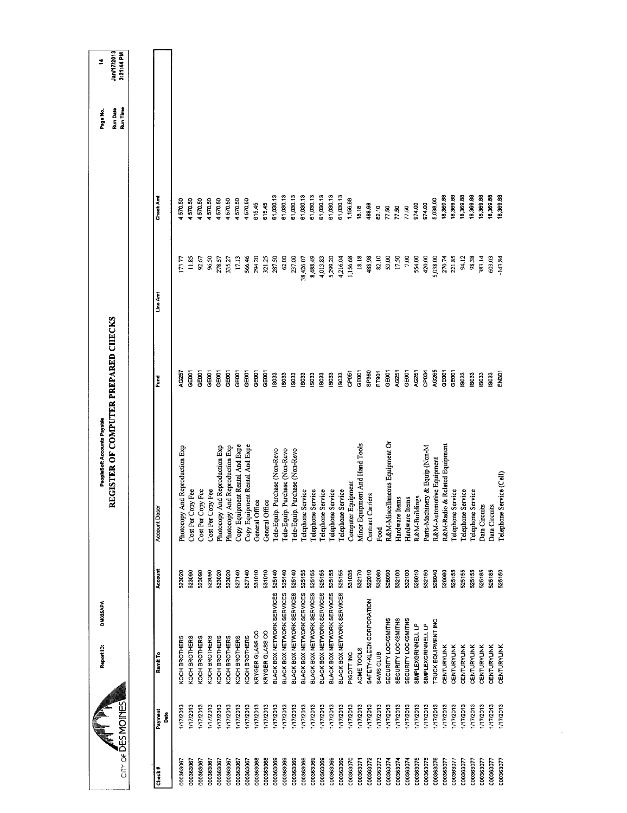| $CITY$ of $\overline{DES}$ MOINES |                  | Report ID:                 | DM025APA | REGISTER OF COMPUTER PREPARED CHECKS<br>PeopleSoft Accounts Payable |                   |            |           | <b>Run Date</b><br>Run Time<br>Page No. | Jan/17/2013<br>3:21:44 PM<br>₹ |
|-----------------------------------|------------------|----------------------------|----------|---------------------------------------------------------------------|-------------------|------------|-----------|-----------------------------------------|--------------------------------|
|                                   |                  |                            |          |                                                                     |                   |            |           |                                         |                                |
| Check#                            | Payment<br>å     | Remit To                   | Account  | Account Desc                                                        | Fund              | Line Arrit | Check Amt |                                         |                                |
| 000363067                         | 1/17/2013        | KOCH BROTHERS              | 523020   | Photocopy And Reproduction Exp                                      | AG257             | (73.77)    | 4,570.50  |                                         |                                |
| 000363067                         | 1/17/2013        | KOCH BROTHERS              | 523090   | Cost Per Copy Fee                                                   | GE001             | 11.85      | 4.570.50  |                                         |                                |
| 000363067                         | I/17/2013        | KOCH BROTHERS              | 523090   | Cost Per Copy Fee                                                   | 3E001             | 92.67      | 1,570.50  |                                         |                                |
| 000363067                         | 1/17/2013        | KOCH BROTHERS              | 523090   | Cost Per Copy Fee                                                   | GE001             | 96.50      | 4,570.50  |                                         |                                |
| 000363067                         | 1/17/2013        | KOCH BROTHERS              | 523020   | Photocopy And Reproduction Exp                                      | GE001             | 278.57     | 4,570.50  |                                         |                                |
| 000363067                         | 1/17/2013        | KOCH BROTHERS              | 523020   | Photocopy And Reproduction Exp                                      | GEOOT             | 335.27     | 4,570.50  |                                         |                                |
| 000363067                         | 1/17/2013        | KOCH BROTHERS              | 527140   | Copy Equipment Rental And Expe                                      | GE <sub>001</sub> | 17.13      | 4,570.50  |                                         |                                |
| 000363067                         | 1/17/2013        | KOCH BROTHERS              | 527140   | Copy Equipment Rental And Expe                                      | GE001             | 566.46     | 4,570.50  |                                         |                                |
| 000363068                         | 117/2013         | KRYGER GLASS CO            | 531010   | General Office                                                      | GE001             | 294.20     | 615.45    |                                         |                                |
| 000363068                         | <b>I/17/2013</b> | KRYGER GLASS CO            | 531010   | General Office                                                      | GE001             | 321.25     | 615.45    |                                         |                                |
| 000363069                         | 117/2013         | BLACK BOX NETWORK SERVICES | 525140   | Tele-Equip. Purchase (Non-Revo                                      | <b>ISO33</b>      | 287.50     | 61,030.13 |                                         |                                |
| 000363069                         | 1/17/2013        | BLACK BOX NETWORK SERVICES | 525140   | Purchase (Non-Revo<br>Tele-Equip.                                   | 19033             | 62.00      | 61,030.13 |                                         |                                |
| 000363069                         | 1/17/2013        | BLACK BOX NETWORK SERVICES | 525140   | Tele-Equip. Purchase (Non-Revo                                      | IS033             | 237.00     | 61,030.13 |                                         |                                |
| 000363069                         | 1/17/2013        | BLACK BOX NETWORK SERVICES | 525155   | Telephone Service                                                   | 503               | 38,426.07  | 61,030.13 |                                         |                                |
| 000363069                         | 1/17/2013        | BLACK BOX NETWORK SERVICES | 525155   | Telephone Service                                                   | <b>ISO33</b>      | 8,488.49   | 61,030.13 |                                         |                                |
| 000363069                         | 1/17/2013        | BLACK BOX NETWORK SERVICES | 525155   | Telephone Service                                                   | IS033             | 4,013.83   | 61,030.13 |                                         |                                |
| 000363069                         | 1/17/2013        | BLACK BOX NETWORK SERVICES | 525155   | Telephone Service                                                   | 5033              | 5,299.20   | 61,030.13 |                                         |                                |
| 000363069                         | 1/17/2013        | BLACK BOX NETWORK SERVICES | 525155   | Telephone Service                                                   | <b>SO33</b>       | 4,216.04   | 61,030.13 |                                         |                                |
| 000363070                         | I/17/2013        | PIGOTT INC                 | 531035   | Computer Equipment                                                  | CP <sub>051</sub> | 1,156.68   | 1,156.68  |                                         |                                |
| 000363071                         | 1/17/2013        | ACME TOOLS                 | 532170   | Minor Equipment And Hand Tools                                      | GE001             | 18.18      | 18.18     |                                         |                                |
| 000363072                         | 1/17/2013        | SAFETY-KLEEN CORPORATION   | 522010   | Contract Carriers                                                   | SP360             | 488.98     | 488.98    |                                         |                                |
| 000363073                         | 1/17/2013        | SAMS CLUB                  | 532080   | Food                                                                | ET901             | 82.10      | 82.10     |                                         |                                |
| 000363074                         | 117/2013         | SECURITY LOCKSMITHS        | 526090   | R&M-Miscellaneous Equipment Or                                      | GEOO1             | 53.00      | 7750      |                                         |                                |
| 000363074                         | 1/17/2013        | <b>SECURITY LOCKSMITHS</b> | 532100   | Hardware Items                                                      | AG251             | 17.50      | 7750      |                                         |                                |
| 000363074                         | <b>I/17/2013</b> | SECURITY LOCKSMITHS        | 532100   | Hardware Items                                                      | GE001             | 7,00       | 77.50     |                                         |                                |
| 000363075                         | 1772013          | SIMPLEXGRINNELL LP         | 526010   | R&M-Buildings                                                       | AG251             | 554.00     | 974.00    |                                         |                                |
| 000363075                         | 1/17/2013        | SIMPLEXGRINNELL LP         | 532150   | Parts-Machinery & Equip (Non-M                                      | CP <sub>034</sub> | 420.00     | 974.00    |                                         |                                |
| 000363076                         | 1/17/2013        | TRUCK EQUIPMENT INC        | 526040   | R&M-Automotive Equipment                                            | AG265             | 5,038.00   | 5,038.00  |                                         |                                |
| 000363077                         | 117/2013         | <b>CENTURYLINK</b>         | 526080   | R&M-Radio & Related Equipment                                       | GE001             | 270.74     | 18,369.88 |                                         |                                |
| 000363077                         | 1/17/2013        | CENTURYLINK                | 525155   | Telephone Service                                                   | CEOOT             | 221.85     | 18,369.88 |                                         |                                |
| 000363077                         | 1/17/2013        | CENTURYLINK                | 525155   | Telephone Service                                                   | <b>ISO33</b>      | 94.12      | 18,369.88 |                                         |                                |
| 000363077                         | <b>I/17/2013</b> | CENTURYLINK                | 525155   | <b>Telephone Service</b>                                            | <b>ISO33</b>      | 98.38      | 18,369.88 |                                         |                                |
| 000363077                         | 117/2013         | CENTURYLINK                | 525185   | Data Circuits                                                       | 15033             | 383.14     | 18,369.88 |                                         |                                |
| 000363077                         | <b>I/17/2013</b> | CENTURYLINK                | 525185   | Data Circuits                                                       | 5033              | 603.03     | 18,369.88 |                                         |                                |
| 000363077                         | 1/17/2013        | CENTURYLINK                | 525150   | Telephone Service (Cell)                                            | ENSOT             | $-143.84$  | 18,369.88 |                                         |                                |
|                                   |                  |                            |          |                                                                     |                   |            |           |                                         |                                |

 $\sim 10^{-1}$